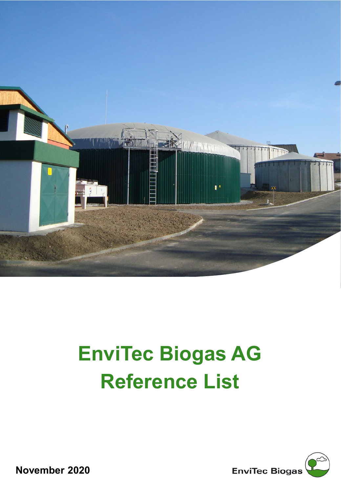

## **EnviTec Biogas AG Reference List**



**November 2020**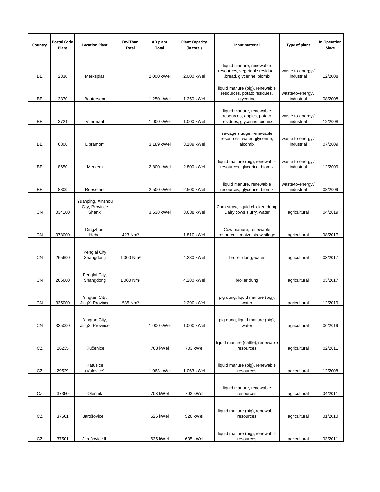| Country    | <b>Postal Code</b><br>Plant | <b>Location Plant</b>                         | EnviThan<br>Total       | AD plant<br>Total | <b>Plant Capacity</b><br>(in total) | Input material                                                                       | Type of plant                   | <b>In Operation</b><br>Since |
|------------|-----------------------------|-----------------------------------------------|-------------------------|-------------------|-------------------------------------|--------------------------------------------------------------------------------------|---------------------------------|------------------------------|
|            |                             |                                               |                         |                   |                                     | liquid manure, renewable<br>resources, vegetable residues                            | waste-to-energy /               |                              |
| BE         | 2330                        | Merksplas                                     |                         | 2.000 kWel        | 2.000 kWel                          | bread, glycerine, biomix,                                                            | industrial                      | 12/2008                      |
| BE         | 3370                        | Boutersem                                     |                         | 1.250 kWel        | 1.250 kWel                          | liquid manure (pig), renewable<br>resources, potato residues,<br>glycerine           | waste-to-energy /<br>industrial | 08/2008                      |
| BE         | 3724                        | Vliermaal                                     |                         | 1.000 kWel        | 1.000 kWel                          | liquid manure, renewable<br>resources, apples, potato<br>residues, glycerine, biomix | waste-to-energy /<br>industrial | 12/2008                      |
| BE         | 6800                        | Libramont                                     |                         | 3.189 kWel        | 3.189 kWel                          | sewage sludge, renewable<br>resources, water, glycerine,<br>alcomix                  | waste-to-energy /<br>industrial | 07/2009                      |
| BE         | 8650                        | Merkem                                        |                         | 2.800 kWel        | 2.800 kWel                          | liquid manure (pig), renewable<br>resources, glycerine, biomix                       | waste-to-energy /<br>industrial | 12/2009                      |
| BE         | 8800                        | Roeselare                                     |                         | 2.500 kWel        | 2.500 kWel                          | liquid manure, renewable<br>resources, glycerine, biomix                             | waste-to-energy /<br>industrial | 08/2009                      |
| CN         | 034100                      | Yuanping, Xinzhou<br>City, Province<br>Shanxi |                         | 3.638 kWel        | 3.638 kWel                          | Corn straw, liquid chicken dung,<br>Dairy cows slurry, water                         | agricultural                    | 04/2019                      |
| CN         | 073000                      | Dingzhou,<br>Hebei                            | 423 Nm <sup>3</sup>     |                   | 1.810 kWel                          | Cow manure, renewable<br>resources, maize straw silage                               | agricultural                    | 08/2017                      |
| CN         | 265600                      | Penglai City<br>Shangdong                     | $1.000$ Nm <sup>3</sup> |                   | 4.280 kWel                          | broiler dung, water                                                                  | agricultural                    | 03/2017                      |
| CN         | 265600                      | Penglai City,<br>Shangdong                    | 1.000 Nm <sup>3</sup>   |                   | 4.280 kWel                          | broiler dung                                                                         | agricultural                    | 03/2017                      |
| CN         | 335000                      | Yingtan City,<br>JingXi Province              | 535 Nm <sup>3</sup>     |                   | 2.290 kWel                          | pig dung, liquid manure (pig),<br>water                                              | agricultural                    | 12/2019                      |
| CN         | 335000                      | Yingtan City,<br>JingXi Province              |                         | 1.000 kWel        | 1.000 kWel                          | pig dung, liquid manure (pig),<br>water                                              | agricultural                    | 06/2019                      |
| ${\tt CZ}$ | 26235                       | Klučenice                                     |                         | 703 kWel          | 703 kWel                            | liquid manure (cattle), renewable<br>resources                                       | agricultural                    | 02/2011                      |
| CZ         | 29529                       | Katušice<br>(Valovice)                        |                         | 1.063 kWel        | 1.063 kWel                          | liquid manure (pig), renewable<br>resources                                          | agricultural                    | 12/2008                      |
| CZ         | 37350                       | Olešník                                       |                         | 703 kWel          | 703 kWel                            | liquid manure, renewable<br>resources                                                | agricultural                    | 04/2011                      |
| CZ         | 37501                       | Jarošovice I.                                 |                         | 526 kWel          | 526 kWel                            | liquid manure (pig), renewable<br>resources                                          | agricultural                    | 01/2010                      |
| CZ         | 37501                       | Jarošovice II.                                |                         | 635 kWel          | 635 kWel                            | liquid manure (pig), renewable<br>resources                                          | agricultural                    | 03/2011                      |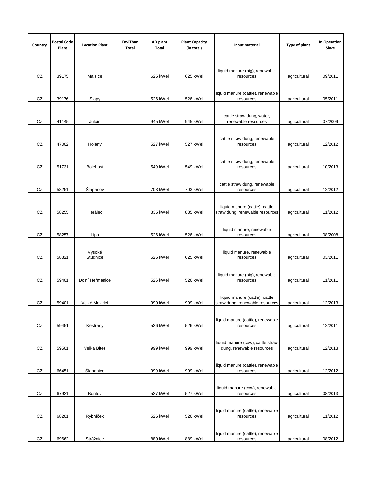| Country    | <b>Postal Code</b><br>Plant | <b>Location Plant</b> | EnviThan<br>Total | AD plant<br>Total | <b>Plant Capacity</b><br>(in total) | Input material                                                    | Type of plant | In Operation<br>Since |
|------------|-----------------------------|-----------------------|-------------------|-------------------|-------------------------------------|-------------------------------------------------------------------|---------------|-----------------------|
|            |                             |                       |                   |                   |                                     | liquid manure (pig), renewable                                    |               |                       |
| CZ         | 39175                       | Malšice               |                   | 625 kWel          | 625 kWel                            | resources                                                         | agricultural  | 09/2011               |
| CZ         | 39176                       | Slapy                 |                   | 526 kWel          | 526 kWel                            | liquid manure (cattle), renewable<br>resources                    | agricultural  | 05/2011               |
| CZ         | 41145                       | Julčín                |                   | 945 kWel          | 945 kWel                            | cattle straw dung, water,<br>renewable resources                  | agricultural  | 07/2009               |
| CZ         | 47002                       | Holany                |                   | 527 kWel          | 527 kWel                            | cattle straw dung, renewable<br>resources                         | agricultural  | 12/2012               |
| CZ         | 51731                       | <b>Bolehost</b>       |                   | 549 kWel          | 549 kWel                            | cattle straw dung, renewable<br>resources                         | agricultural  | 10/2013               |
| CZ         | 58251                       | Šlapanov              |                   | 703 kWel          | 703 kWel                            | cattle straw dung, renewable<br>resources                         | agricultural  | 12/2012               |
| CZ         | 58255                       | Herálec               |                   | 835 kWel          | 835 kWel                            | liquid manure (cattle), cattle<br>straw dung, renewable resources | agricultural  | 11/2012               |
| CZ         | 58257                       | Lípa                  |                   | 526 kWel          | 526 kWel                            | liquid manure, renewable<br>resources                             | agricultural  | 08/2008               |
| CZ         | 58821                       | Vysoké<br>Studnice    |                   | 625 kWel          | 625 kWel                            | liquid manure, renewable<br>resources                             | agricultural  | 03/2011               |
| CZ         | 59401                       | Dolní Heřmanice       |                   | 526 kWel          | 526 kWel                            | liquid manure (pig), renewable<br>resources                       | agricultural  | 11/2011               |
| CZ         | 59401                       | Velké Mezirící        |                   | 999 kWel          | 999 kWel                            | liquid manure (cattle), cattle<br>straw dung, renewable resources | agricultural  | 12/2013               |
| CZ         | 59451                       | Kestřany              |                   | 526 kWel          | 526 kWel                            | liquid manure (cattle), renewable<br>resources                    | agricultural  | 12/2011               |
| ${\tt CZ}$ | 59501                       | Velka Bites           |                   | 999 kWel          | 999 kWel                            | liquid manure (cow), cattle straw<br>dung, renewable resources    | agricultural  | 12/2013               |
| CZ         | 66451                       | Šlapanice             |                   | 999 kWel          | 999 kWel                            | liquid manure (cattle), renewable<br>resources                    | agricultural  | 12/2012               |
| ${\tt CZ}$ | 67921                       | Bořitov               |                   | 527 kWel          | 527 kWel                            | liquid manure (cow), renewable<br>resources                       | agricultural  | 08/2013               |
| ${\tt CZ}$ | 68201                       | Rybníček              |                   | 526 kWel          | 526 kWel                            | liquid manure (cattle), renewable<br>resources                    | agricultural  | 11/2012               |
| CZ         | 69662                       | Strážnice             |                   | 889 kWel          | 889 kWel                            | liquid manure (cattle), renewable<br>resources                    | agricultural  | 08/2012               |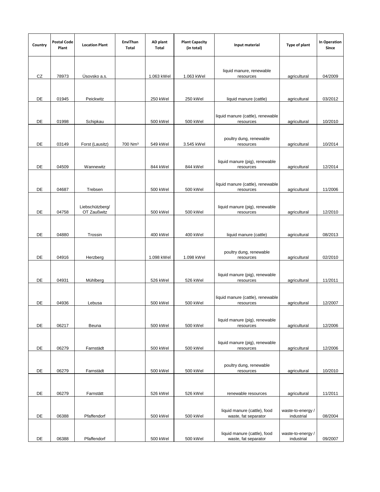| Country   | <b>Postal Code</b><br>Plant | <b>Location Plant</b>          | EnviThan<br>Total   | AD plant<br>Total | <b>Plant Capacity</b><br>(in total) | Input material                                 | Type of plant     | In Operation<br>Since |
|-----------|-----------------------------|--------------------------------|---------------------|-------------------|-------------------------------------|------------------------------------------------|-------------------|-----------------------|
|           |                             |                                |                     |                   |                                     | liquid manure, renewable                       |                   |                       |
| CZ        | 78973                       | Úsovsko a.s.                   |                     | 1.063 kWel        | 1.063 kWel                          | resources                                      | agricultural      | 04/2009               |
|           |                             |                                |                     |                   |                                     |                                                |                   |                       |
| DE        | 01945                       | Peickwitz                      |                     | 250 kWel          | 250 kWel                            | liquid manure (cattle)                         | agricultural      | 03/2012               |
|           |                             |                                |                     |                   |                                     |                                                |                   |                       |
| DE        | 01998                       | Schipkau                       |                     | 500 kWel          | 500 kWel                            | liquid manure (cattle), renewable<br>resources | agricultural      | 10/2010               |
|           |                             |                                |                     |                   |                                     |                                                |                   |                       |
|           |                             |                                |                     |                   |                                     | poultry dung, renewable                        |                   |                       |
| DE        | 03149                       | Forst (Lausitz)                | 700 Nm <sup>3</sup> | 549 kWel          | 3.545 kWel                          | resources                                      | agricultural      | 10/2014               |
|           |                             |                                |                     |                   |                                     |                                                |                   |                       |
| DE        | 04509                       | Wannewitz                      |                     | 844 kWel          | 844 kWel                            | liquid manure (pig), renewable<br>resources    | agricultural      | 12/2014               |
|           |                             |                                |                     |                   |                                     |                                                |                   |                       |
|           |                             |                                |                     |                   |                                     | liquid manure (cattle), renewable              |                   |                       |
| DE        | 04687                       | Trebsen                        |                     | 500 kWel          | 500 kWel                            | resources                                      | agricultural      | 11/2006               |
|           |                             |                                |                     |                   |                                     |                                                |                   |                       |
| DE        | 04758                       | Liebschützberg/<br>OT Zaußwitz |                     | 500 kWel          | 500 kWel                            | liquid manure (pig), renewable<br>resources    | agricultural      | 12/2010               |
|           |                             |                                |                     |                   |                                     |                                                |                   |                       |
|           |                             |                                |                     |                   |                                     |                                                |                   |                       |
| DE        | 04880                       | Trossin                        |                     | 400 kWel          | 400 kWel                            | liquid manure (cattle)                         | agricultural      | 08/2013               |
|           |                             |                                |                     |                   |                                     |                                                |                   |                       |
| <b>DE</b> | 04916                       | Herzberg                       |                     | 1.098 kWel        | 1.098 kWel                          | poultry dung, renewable<br>resources           | agricultural      | 02/2010               |
|           |                             |                                |                     |                   |                                     |                                                |                   |                       |
|           |                             |                                |                     |                   |                                     | liquid manure (pig), renewable                 |                   |                       |
| DE        | 04931                       | Mühlberg                       |                     | 526 kWel          | 526 kWel                            | resources                                      | agricultural      | 11/2011               |
|           |                             |                                |                     |                   |                                     |                                                |                   |                       |
| DE        | 04936                       | Lebusa                         |                     | 500 kWel          | 500 kWel                            | liquid manure (cattle), renewable<br>resources | agricultural      | 12/2007               |
|           |                             |                                |                     |                   |                                     |                                                |                   |                       |
|           |                             |                                |                     |                   |                                     | liquid manure (pig), renewable                 |                   |                       |
| DE        | 06217                       | Beuna                          |                     | 500 kWel          | 500 kWel                            | resources                                      | agricultural      | 12/2006               |
|           |                             |                                |                     |                   |                                     |                                                |                   |                       |
| DE        | 06279                       | Farnstädt                      |                     | 500 kWel          | 500 kWel                            | liquid manure (pig), renewable<br>resources    | agricultural      | 12/2006               |
|           |                             |                                |                     |                   |                                     |                                                |                   |                       |
|           |                             |                                |                     |                   |                                     | poultry dung, renewable                        |                   |                       |
| DE        | 06279                       | Farnstädt                      |                     | 500 kWel          | 500 kWel                            | resources                                      | agricultural      | 10/2010               |
|           |                             |                                |                     |                   |                                     |                                                |                   |                       |
| DE        | 06279                       | Farnstätt                      |                     | 526 kWel          | 526 kWel                            | renewable resources                            | agricultural      | 11/2011               |
|           |                             |                                |                     |                   |                                     |                                                |                   |                       |
|           |                             |                                |                     |                   |                                     | liquid manure (cattle), food                   | waste-to-energy / |                       |
| DE        | 06388                       | Pfaffendorf                    |                     | 500 kWel          | 500 kWel                            | waste, fat separator                           | industrial        | 08/2004               |
|           |                             |                                |                     |                   |                                     | liquid manure (cattle), food                   | waste-to-energy / |                       |
| DE        | 06388                       | Pfaffendorf                    |                     | 500 kWel          | 500 kWel                            | waste, fat separator                           | industrial        | 09/2007               |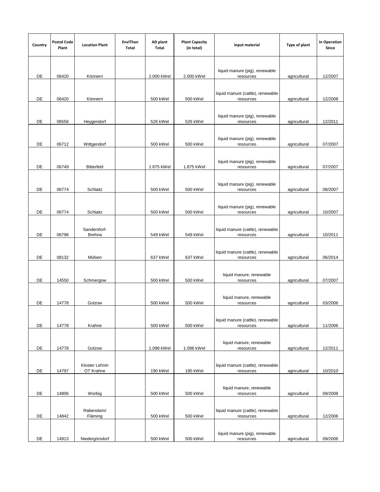| Country | <b>Postal Code</b><br>Plant | <b>Location Plant</b>         | EnviThan<br>Total | AD plant<br>Total | <b>Plant Capacity</b><br>(in total) | Input material                                 | Type of plant | In Operation<br>Since |
|---------|-----------------------------|-------------------------------|-------------------|-------------------|-------------------------------------|------------------------------------------------|---------------|-----------------------|
| DE      | 06420                       | Könnern                       |                   | 2.000 kWel        | 2.000 kWel                          | liquid manure (pig), renewable<br>resources    | agricultural  | 12/2007               |
| DE      | 06420                       | Könnern                       |                   | 500 kWel          | 500 kWel                            | liquid manure (cattle), renewable<br>resources | agricultural  | 12/2008               |
| DE      | 06556                       | Heygendorf                    |                   | 526 kWel          | 526 kWel                            | liquid manure (pig), renewable<br>resources    | agricultural  | 12/2011               |
| DE      | 06712                       | Wittgendorf                   |                   | 500 kWel          | 500 kWel                            | liquid manure (pig), renewable<br>resources    | agricultural  | 07/2007               |
| DE      | 06749                       | <b>Bitterfeld</b>             |                   | 1.875 kWel        | 1.875 kWel                          | liquid manure (pig), renewable<br>resources    | agricultural  | 07/2007               |
| DE      | 06774                       | Schlaitz                      |                   | 500 kWel          | 500 kWel                            | liquid manure (pig), renewable<br>resources    | agricultural  | 08/2007               |
| DE      | 06774                       | Schlaitz                      |                   | 500 kWel          | 500 kWel                            | liquid manure (pig), renewable<br>resources    | agricultural  | 10/2007               |
| DE      | 06796                       | Sandersforf-<br><b>Brehna</b> |                   | 549 kWel          | 549 kWel                            | liquid manure (cattle), renewable<br>resources | agricultural  | 10/2011               |
| DE      | 08132                       | Mülsen                        |                   | 637 kWel          | 637 kWel                            | liquid manure (cattle), renewable<br>resources | agricultural  | 06/2014               |
| DE      | 14550                       | Schmergow                     |                   | 500 kWel          | 500 kWel                            | liquid manure, renewable<br>resources          | agricultural  | 07/2007               |
| DE      | 14778                       | Golzow                        |                   | 500 kWel          | 500 kWel                            | liquid manure, renewable<br>resources          | agricultural  | 03/2006               |
| DE      | 14778                       | Krahne                        |                   | 500 kWel          | 500 kWel                            | liquid manure (cattle), renewable<br>resources | agricultural  | 11/2006               |
| DE      | 14778                       | Golzow                        |                   | 1.098 kWel        | 1.098 kWel                          | liquid manure, renewable<br>resources          | agricultural  | 12/2011               |
| DE      | 14797                       | Kloster Lehnin<br>OT Krahne   |                   | 190 kWel          | 190 kWel                            | liquid manure (cattle), renewable<br>resources | agricultural  | 10/2010               |
| DE      | 14806                       | Werbig                        |                   | 500 kWel          | 500 kWel                            | liquid manure, renewable<br>resources          | agricultural  | 09/2008               |
| DE      | 14842                       | Rabenstein/<br>Fläming        |                   | 500 kWel          | 500 kWel                            | liquid manure (cattle), renewable<br>resources | agricultural  | 12/2006               |
| DE      | 14913                       | Niedergörsdorf                |                   | 500 kWel          | 500 kWel                            | liquid manure (pig), renewable<br>resources    | agricultural  | 09/2006               |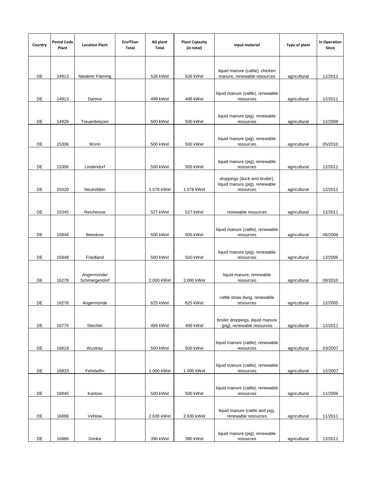| Country | <b>Postal Code</b><br>Plant | <b>Location Plant</b>        | EnviThan<br>Total | AD plant<br>Total | <b>Plant Capacity</b><br>(in total) | Input material                                                               | Type of plant | In Operation<br>Since |
|---------|-----------------------------|------------------------------|-------------------|-------------------|-------------------------------------|------------------------------------------------------------------------------|---------------|-----------------------|
| DE      | 14913                       | Niederer Fläming             |                   | 526 kWel          | 526 kWel                            | liquid manure (cattle), chicken<br>manure, renewable resources               | agricultural  | 12/2012               |
|         |                             |                              |                   |                   |                                     |                                                                              |               |                       |
| DE      | 14913                       | Dahme                        |                   | 499 kWel          | 499 kWel                            | liquid manure (cattle), renewable<br>resources                               | agricultural  | 12/2011               |
| DE      | 14929                       | Treuenbriezen                |                   | 500 kWel          | 500 kWel                            | liquid manure (pig), renewable<br>resources                                  | agricultural  | 12/2008               |
| DE      | 15306                       | Worin                        |                   | 500 kWel          | 500 kWel                            | liquid manure (pig), renewable<br>resources                                  | agricultural  | 05/2010               |
| DE      | 15306                       | Lindendorf                   |                   | 500 kWel          | 500 kWel                            | liquid manure (pig), renewable<br>resources                                  | agricultural  | 12/2011               |
| DE      | 15320                       | Neutrebbin                   |                   | 1.578 kWel        | 1.578 kWel                          | droppings (duck and broiler),<br>liquid manure (pig), renewable<br>resources | agricultural  | 12/2011               |
| DE      | 15345                       | Reichenow                    |                   | 527 kWel          | 527 kWel                            | renewable resources                                                          | agricultural  | 12/2011               |
|         |                             |                              |                   |                   |                                     | liquid manure (cattle), renewable                                            |               |                       |
| DE      | 15848                       | Beeskow                      |                   | 500 kWel          | 500 kWel                            | resources                                                                    | agricultural  | 06/2006               |
| DE      | 15848                       | Friedland                    |                   | 500 kWel          | 500 kWel                            | liquid manure (pig), renewable<br>resources                                  | agricultural  | 12/2006               |
| DE      | 16278                       | Angermünde/<br>Schmargendorf |                   | 2.000 kWel        | 2.000 kWel                          | liquid manure, renewable<br>resources                                        | agricultural  | 08/2010               |
| DE      | 16278                       | Angermünde                   |                   | 625 kWel          | 625 kWel                            | cattle straw dung, renewable<br>resources                                    | agricultural  | 12/2005               |
| DE      | 16775                       | Stechlin                     |                   | 499 kWel          | 499 kWel                            | broiler droppings, liquid manure<br>(pig), renewable resources               | agricultural  | 12/2011               |
| DE      | 16818                       | Wustrau                      |                   | 500 kWel          | 500 kWel                            | liquid manure (cattle), renewable<br>resources                               | agricultural  | 03/2007               |
| DE      | 16833                       | Fehrbellin                   |                   | 1.000 kWel        | 1.000 kWel                          | liquid manure (cattle), renewable<br>resources                               | agricultural  | 12/2007               |
| DE      | 16845                       | Kantow                       |                   | 500 kWel          | 500 kWel                            | liquid manure (cattle), renewable<br>resources                               | agricultural  | 11/2006               |
| DE      | 16866                       | Vehlow                       |                   | 2.630 kWel        | 2.630 kWel                          | liquid manure (cattle and pig),<br>renewable resources                       | agricultural  | 11/2011               |
| DE      | 16866                       | Görike                       |                   | 390 kWel          | 390 kWel                            | liquid manure (pig), renewable<br>resources                                  | agricultural  | 12/2011               |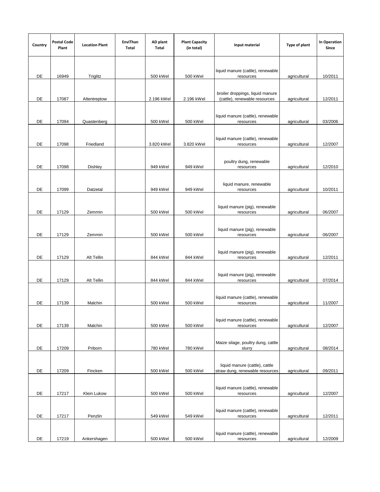| Country | <b>Postal Code</b><br>Plant | <b>Location Plant</b> | EnviThan<br>Total | AD plant<br>Total | <b>Plant Capacity</b><br>(in total) | Input material                                                    | Type of plant | <b>In Operation</b><br>Since |
|---------|-----------------------------|-----------------------|-------------------|-------------------|-------------------------------------|-------------------------------------------------------------------|---------------|------------------------------|
| DE      | 16949                       | Triglitz              |                   | 500 kWel          | 500 kWel                            | liquid manure (cattle), renewable<br>resources                    | agricultural  | 10/2011                      |
| DE      | 17087                       | Altentreptow          |                   | 2.196 kWel        | 2.196 kWel                          | broiler droppings, liquid manure<br>(cattle), renewable resources | agricultural  | 12/2011                      |
| DE      | 17094                       | Quastenberg           |                   | 500 kWel          | 500 kWel                            | liquid manure (cattle), renewable<br>resources                    | agricultural  | 03/2006                      |
| DE      | 17098                       | Friedland             |                   | 3.820 kWel        | 3.820 kWel                          | liquid manure (cattle), renewable<br>resources                    | agricultural  | 12/2007                      |
| DE      | 17098                       | Dishley               |                   | 949 kWel          | 949 kWel                            | poultry dung, renewable<br>resources                              | agricultural  | 12/2010                      |
| DE      | 17099                       | Datzetal              |                   | 949 kWel          | 949 kWel                            | liquid manure, renewable<br>resources                             | agricultural  | 10/2011                      |
| DE      | 17129                       | Zemmin                |                   | 500 kWel          | 500 kWel                            | liquid manure (pig), renewable<br>resources                       | agricultural  | 06/2007                      |
| DE      | 17129                       | Zemmin                |                   | 500 kWel          | 500 kWel                            | liquid manure (pig), renewable<br>resources                       | agricultural  | 06/2007                      |
| DE      | 17129                       | Alt Tellin            |                   | 844 kWel          | 844 kWel                            | liquid manure (pig), renewable<br>resources                       | agricultural  | 12/2011                      |
| DE      | 17129                       | Alt Tellin            |                   | 844 kWel          | 844 kWel                            | liquid manure (pig), renewable<br>resources                       | agricultural  | 07/2014                      |
| DE      | 17139                       | Malchin               |                   | 500 kWel          | 500 kWel                            | liquid manure (cattle), renewable<br>resources                    | agricultural  | 11/2007                      |
| DE      | 17139                       | Malchin               |                   | 500 kWel          | 500 kWel                            | liquid manure (cattle), renewable<br>resources                    | agricultural  | 12/2007                      |
| DE      | 17209                       | Priborn               |                   | 780 kWel          | 780 kWel                            | Maize silage, poultry dung, cattle<br>slurry                      | agricultural  | 08/2014                      |
| DE      | 17209                       | Fincken               |                   | 500 kWel          | 500 kWel                            | liquid manure (cattle), cattle<br>straw dung, renewable resources | agricultural  | 09/2011                      |
| DE      | 17217                       | Klein Lukow           |                   | 500 kWel          | 500 kWel                            | liquid manure (cattle), renewable<br>resources                    | agricultural  | 12/2007                      |
| DE      | 17217                       | Penzlin               |                   | 549 kWel          | 549 kWel                            | liquid manure (cattle), renewable<br>resources                    | agricultural  | 12/2011                      |
| DE      | 17219                       | Ankershagen           |                   | 500 kWel          | 500 kWel                            | liquid manure (cattle), renewable<br>resources                    | agricultural  | 12/2009                      |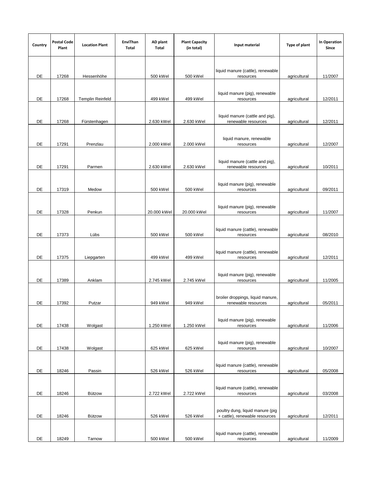| Country | <b>Postal Code</b><br>Plant | <b>Location Plant</b>   | EnviThan<br>Total | AD plant<br>Total | <b>Plant Capacity</b><br>(in total) | Input material                                                     | Type of plant | In Operation<br>Since |
|---------|-----------------------------|-------------------------|-------------------|-------------------|-------------------------------------|--------------------------------------------------------------------|---------------|-----------------------|
| DE      | 17268                       | Hessenhöhe              |                   | 500 kWel          | 500 kWel                            | liquid manure (cattle), renewable<br>resources                     | agricultural  | 11/2007               |
| DE      | 17268                       | <b>Templin Reinfeld</b> |                   | 499 kWel          | 499 kWel                            | liquid manure (pig), renewable<br>resources                        | agricultural  | 12/2011               |
| DE      | 17268                       | Fürstenhagen            |                   | 2.630 kWel        | 2.630 kWel                          | liquid manure (cattle and pig),<br>renewable resources             | agricultural  | 12/2011               |
| DE      | 17291                       | Prenzlau                |                   | 2.000 kWel        | 2.000 kWel                          | liquid manure, renewable<br>resources                              | agricultural  | 12/2007               |
| DE      | 17291                       | Parmen                  |                   | 2.630 kWel        | 2.630 kWel                          | liquid manure (cattle and pig),<br>renewable resources             | agricultural  | 10/2011               |
| DE      | 17319                       | Medow                   |                   | 500 kWel          | 500 kWel                            | liquid manure (pig), renewable<br>resources                        | agricultural  | 09/2011               |
| DE      | 17328                       | Penkun                  |                   | 20.000 kWel       | 20.000 kWel                         | liquid manure (pig), renewable<br>resources                        | agricultural  | 11/2007               |
| DE      | 17373                       | Lübs                    |                   | 500 kWel          | 500 kWel                            | liquid manure (cattle), renewable<br>resources                     | agricultural  | 08/2010               |
| DE      | 17375                       | Liepgarten              |                   | 499 kWel          | 499 kWel                            | liquid manure (cattle), renewable<br>resources                     | agricultural  | 12/2011               |
| DE      | 17389                       | Anklam                  |                   | 2.745 kWel        | 2.745 kWel                          | liquid manure (pig), renewable<br>resources                        | agricultural  | 11/2005               |
| DE      | 17392                       | Putzar                  |                   | 949 kWel          | 949 kWel                            | broiler droppings, liquid manure,<br>renewable resources           | agricultural  | 05/2011               |
| DE      | 17438                       | Wolgast                 |                   | 1.250 kWel        | 1.250 kWel                          | liquid manure (pig), renewable<br>resources                        | agricultural  | 11/2006               |
| DE      | 17438                       | Wolgast                 |                   | 625 kWel          | 625 kWel                            | liquid manure (pig), renewable<br>resources                        | agricultural  | 10/2007               |
| DE      | 18246                       | Passin                  |                   | 526 kWel          | 526 kWel                            | liquid manure (cattle), renewable<br>resources                     | agricultural  | 05/2008               |
| DE      | 18246                       | <b>Bützow</b>           |                   | 2.722 kWel        | 2.722 kWel                          | liquid manure (cattle), renewable<br>resources                     | agricultural  | 03/2008               |
| DE      | 18246                       | <b>Bützow</b>           |                   | 526 kWel          | 526 kWel                            | poultry dung, liquid manure (pig<br>+ cattle), renewable resources | agricultural  | 12/2011               |
| DE      | 18249                       | Tarnow                  |                   | 500 kWel          | 500 kWel                            | liquid manure (cattle), renewable<br>resources                     | agricultural  | 11/2009               |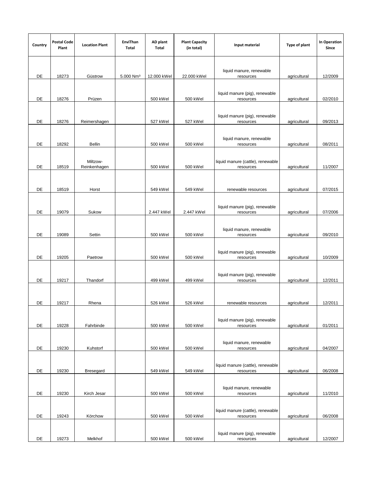| Country | <b>Postal Code</b><br>Plant | <b>Location Plant</b>    | EnviThan<br>Total     | AD plant<br>Total | <b>Plant Capacity</b><br>(in total) | Input material                                 | Type of plant | In Operation<br>Since |
|---------|-----------------------------|--------------------------|-----------------------|-------------------|-------------------------------------|------------------------------------------------|---------------|-----------------------|
|         |                             |                          |                       |                   |                                     |                                                |               |                       |
| DE      | 18273                       | Güstrow                  | 5.000 Nm <sup>3</sup> | 12.000 kWel       | 22.000 kWel                         | liquid manure, renewable<br>resources          | agricultural  | 12/2009               |
| DE      | 18276                       | Prüzen                   |                       | 500 kWel          | 500 kWel                            | liquid manure (pig), renewable<br>resources    | agricultural  | 02/2010               |
| DE      | 18276                       | Reimershagen             |                       | 527 kWel          | 527 kWel                            | liquid manure (pig), renewable<br>resources    | agricultural  | 09/2013               |
| DE      | 18292                       | <b>Bellin</b>            |                       | 500 kWel          | 500 kWel                            | liquid manure, renewable<br>resources          | agricultural  | 08/2011               |
| DE      | 18519                       | Miltzow-<br>Reinkenhagen |                       | 500 kWel          | 500 kWel                            | liquid manure (cattle), renewable<br>resources | agricultural  | 11/2007               |
| DE      | 18519                       | Horst                    |                       | 549 kWel          | 549 kWel                            | renewable resources                            | agricultural  | 07/2015               |
| DE      | 19079                       | Sukow                    |                       | 2.447 kWel        | 2.447 kWel                          | liquid manure (pig), renewable<br>resources    | agricultural  | 07/2006               |
| DE      | 19089                       | Settin                   |                       | 500 kWel          | 500 kWel                            | liquid manure, renewable<br>resources          | agricultural  | 09/2010               |
| DE      | 19205                       | Paetrow                  |                       | 500 kWel          | 500 kWel                            | liquid manure (pig), renewable<br>resources    | agricultural  | 10/2009               |
| DE      | 19217                       | Thandorf                 |                       | 499 kWel          | 499 kWel                            | liquid manure (pig), renewable<br>resources    | agricultural  | 12/2011               |
| DE      | 19217                       | Rhena                    |                       | 526 kWel          | 526 kWel                            | renewable resources                            | agricultural  | 12/2011               |
| DE      | 19228                       | Fahrbinde                |                       | 500 kWel          | 500 kWel                            | liquid manure (pig), renewable<br>resources    | agricultural  | 01/2011               |
| DE      | 19230                       | Kuhstorf                 |                       | 500 kWel          | 500 kWel                            | liquid manure, renewable<br>resources          | agricultural  | 04/2007               |
| DE      | 19230                       | <b>Bresegard</b>         |                       | 549 kWel          | 549 kWel                            | liquid manure (cattle), renewable<br>resources | agricultural  | 06/2008               |
| DE      | 19230                       | Kirch Jesar              |                       | 500 kWel          | 500 kWel                            | liquid manure, renewable<br>resources          | agricultural  | 11/2010               |
| DE      | 19243                       | Körchow                  |                       | 500 kWel          | 500 kWel                            | liquid manure (cattle), renewable<br>resources | agricultural  | 06/2008               |
| DE      | 19273                       | Melkhof                  |                       | 500 kWel          | 500 kWel                            | liquid manure (pig), renewable<br>resources    | agricultural  | 12/2007               |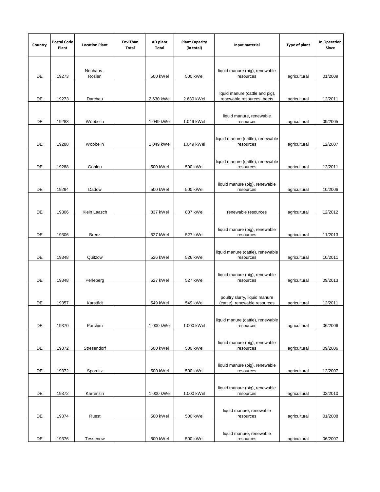| Country | <b>Postal Code</b><br>Plant | <b>Location Plant</b> | EnviThan<br>Total | AD plant<br>Total | <b>Plant Capacity</b><br>(in total) | Input material                                                 | Type of plant | In Operation<br>Since |
|---------|-----------------------------|-----------------------|-------------------|-------------------|-------------------------------------|----------------------------------------------------------------|---------------|-----------------------|
| DE      | 19273                       | Neuhaus -<br>Rosien   |                   | 500 kWel          | 500 kWel                            | liquid manure (pig), renewable<br>resources                    | agricultural  | 01/2009               |
| DE      | 19273                       | Darchau               |                   | 2.630 kWel        | 2.630 kWel                          | liquid manure (cattle and pig),<br>renewable resources, beets  | agricultural  | 12/2011               |
| DE      | 19288                       | Wöbbelin              |                   | 1.049 kWel        | 1.049 kWel                          | liquid manure, renewable<br>resources                          | agricultural  | 09/2005               |
| DE      | 19288                       | Wöbbelin              |                   | 1.049 kWel        | 1.049 kWel                          | liquid manure (cattle), renewable<br>resources                 | agricultural  | 12/2007               |
| DE      | 19288                       | Göhlen                |                   | 500 kWel          | 500 kWel                            | liquid manure (cattle), renewable<br>resources                 | agricultural  | 12/2011               |
| DE      | 19294                       | Dadow                 |                   | 500 kWel          | 500 kWel                            | liquid manure (pig), renewable<br>resources                    | agricultural  | 10/2006               |
| DE      | 19306                       | Klein Laasch          |                   | 837 kWel          | 837 kWel                            | renewable resources                                            | agricultural  | 12/2012               |
| DE      | 19306                       | Brenz                 |                   | 527 kWel          | 527 kWel                            | liquid manure (pig), renewable<br>resources                    | agricultural  | 11/2013               |
| DE      | 19348                       | Quitzow               |                   | 526 kWel          | 526 kWel                            | liquid manure (cattle), renewable<br>resources                 | agricultural  | 10/2011               |
| DE      | 19348                       | Perleberg             |                   | 527 kWel          | 527 kWel                            | liquid manure (pig), renewable<br>resources                    | agricultural  | 09/2013               |
| DE      | 19357                       | Karstädt              |                   | 549 kWel          | 549 kWel                            | poultry slurry, liquid manure<br>(cattle), renewable resources | agricultural  | 12/2011               |
| DE      | 19370                       | Parchim               |                   | 1.000 kWel        | 1.000 kWel                          | liquid manure (cattle), renewable<br>resources                 | agricultural  | 06/2006               |
| DE      | 19372                       | Stresendorf           |                   | 500 kWel          | 500 kWel                            | liquid manure (pig), renewable<br>resources                    | agricultural  | 09/2006               |
| DE      | 19372                       | Spornitz              |                   | 500 kWel          | 500 kWel                            | liquid manure (pig), renewable<br>resources                    | agricultural  | 12/2007               |
| DE      | 19372                       | Karrenzin             |                   | 1.000 kWel        | 1.000 kWel                          | liquid manure (pig), renewable<br>resources                    | agricultural  | 02/2010               |
| DE      | 19374                       | Ruest                 |                   | 500 kWel          | 500 kWel                            | liquid manure, renewable<br>resources                          | agricultural  | 01/2008               |
| DE      | 19376                       | Tessenow              |                   | 500 kWel          | 500 kWel                            | liquid manure, renewable<br>resources                          | agricultural  | 06/2007               |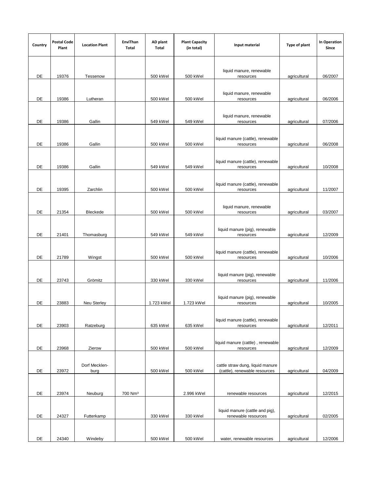| Country             | <b>Postal Code</b><br>Plant | <b>Location Plant</b> | EnviThan<br>Total   | AD plant<br>Total | <b>Plant Capacity</b><br>(in total) | Input material                                                    | Type of plant | In Operation<br>Since |
|---------------------|-----------------------------|-----------------------|---------------------|-------------------|-------------------------------------|-------------------------------------------------------------------|---------------|-----------------------|
| DE                  | 19376                       | Tessenow              |                     | 500 kWel          | 500 kWel                            | liquid manure, renewable<br>resources                             | agricultural  | 06/2007               |
|                     |                             |                       |                     |                   |                                     |                                                                   |               |                       |
| DE                  | 19386                       | Lutheran              |                     | 500 kWel          | 500 kWel                            | liquid manure, renewable<br>resources                             | agricultural  | 06/2006               |
| DE                  | 19386                       | Gallin                |                     | 549 kWel          | 549 kWel                            | liquid manure, renewable<br>resources                             | agricultural  | 07/2006               |
| DE                  | 19386                       | Gallin                |                     | 500 kWel          | 500 kWel                            | liquid manure (cattle), renewable<br>resources                    | agricultural  | 06/2008               |
|                     |                             |                       |                     |                   |                                     |                                                                   |               |                       |
| DE                  | 19386                       | Gallin                |                     | 549 kWel          | 549 kWel                            | liquid manure (cattle), renewable<br>resources                    | agricultural  | 10/2008               |
| DE                  | 19395                       | Zarchlin              |                     | 500 kWel          | 500 kWel                            | liquid manure (cattle), renewable<br>resources                    | agricultural  | 11/2007               |
|                     |                             |                       |                     |                   |                                     |                                                                   |               |                       |
| DE                  | 21354                       | Bleckede              |                     | 500 kWel          | 500 kWel                            | liquid manure, renewable<br>resources                             | agricultural  | 03/2007               |
| DE                  | 21401                       | Thomasburg            |                     | 549 kWel          | 549 kWel                            | liquid manure (pig), renewable<br>resources                       | agricultural  | 12/2009               |
| DE                  | 21789                       | Wingst                |                     | 500 kWel          | 500 kWel                            | liquid manure (cattle), renewable<br>resources                    | agricultural  | 10/2006               |
|                     |                             |                       |                     |                   |                                     |                                                                   |               |                       |
| DE                  | 23743                       | Grömitz               |                     | 330 kWel          | 330 kWel                            | liquid manure (pig), renewable<br>resources                       | agricultural  | 11/2006               |
| DE                  | 23883                       | <b>Neu Sterley</b>    |                     | 1.723 kWel        | 1.723 kWel                          | liquid manure (pig), renewable<br>resources                       | agricultural  | 10/2005               |
| DE                  | 23903                       | Ratzeburg             |                     | 635 kWel          | 635 kWel                            | liquid manure (cattle), renewable<br>resources                    | agricultural  | 12/2011               |
|                     |                             |                       |                     |                   |                                     |                                                                   |               |                       |
| DE                  | 23968                       | Zierow                |                     | 500 kWel          | 500 kWel                            | liquid manure (cattle), renewable<br>resources                    | agricultural  | 12/2009               |
| DE                  | 23972                       | Dorf Mecklen-<br>burg |                     | 500 kWel          | 500 kWel                            | cattle straw dung, liquid manure<br>(cattle), renewable resources | agricultural  | 04/2009               |
|                     |                             |                       |                     |                   |                                     |                                                                   |               |                       |
| DE                  | 23974                       | Neuburg               | 700 Nm <sup>3</sup> |                   | 2.996 kWel                          | renewable resources                                               | agricultural  | 12/2015               |
| $\mathsf{DE}% _{T}$ | 24327                       | Futterkamp            |                     | 330 kWel          | 330 kWel                            | liquid manure (cattle and pig),<br>renewable resources            | agricultural  | 02/2005               |
|                     |                             |                       |                     |                   |                                     |                                                                   |               |                       |
| DE                  | 24340                       | Windeby               |                     | 500 kWel          | 500 kWel                            | water, renewable resources                                        | agricultural  | 12/2006               |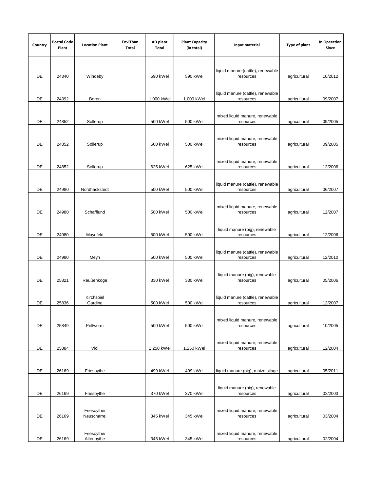| Country | <b>Postal Code</b><br>Plant | <b>Location Plant</b> | EnviThan<br>Total | AD plant<br>Total | <b>Plant Capacity</b><br>(in total) | Input material                                 | Type of plant | In Operation<br>Since |
|---------|-----------------------------|-----------------------|-------------------|-------------------|-------------------------------------|------------------------------------------------|---------------|-----------------------|
|         |                             |                       |                   |                   |                                     |                                                |               |                       |
|         |                             |                       |                   |                   |                                     |                                                |               |                       |
| DE      | 24340                       | Windeby               |                   | 590 kWel          | 590 kWel                            | liquid manure (cattle), renewable<br>resources | agricultural  | 10/2012               |
|         |                             |                       |                   |                   |                                     |                                                |               |                       |
|         |                             |                       |                   |                   |                                     | liquid manure (cattle), renewable              |               |                       |
| DE      | 24392                       | Boren                 |                   | 1.000 kWel        | 1.000 kWel                          | resources                                      | agricultural  | 09/2007               |
|         |                             |                       |                   |                   |                                     |                                                |               |                       |
| DE      | 24852                       | Sollerup              |                   | 500 kWel          | 500 kWel                            | mixed liquid manure, renewable<br>resources    | agricultural  | 09/2005               |
|         |                             |                       |                   |                   |                                     |                                                |               |                       |
|         |                             |                       |                   |                   |                                     | mixed liquid manure, renewable                 |               |                       |
| DE      | 24852                       | Sollerup              |                   | 500 kWel          | 500 kWel                            | resources                                      | agricultural  | 09/2005               |
|         |                             |                       |                   |                   |                                     | mixed liquid manure, renewable                 |               |                       |
| DE      | 24852                       | Sollerup              |                   | 625 kWel          | 625 kWel                            | resources                                      | agricultural  | 12/2006               |
|         |                             |                       |                   |                   |                                     |                                                |               |                       |
| DE      | 24980                       | Nordhackstedt         |                   | 500 kWel          | 500 kWel                            | liquid manure (cattle), renewable<br>resources | agricultural  | 06/2007               |
|         |                             |                       |                   |                   |                                     |                                                |               |                       |
|         |                             |                       |                   |                   |                                     | mixed liquid manure, renewable                 |               |                       |
| DE      | 24980                       | Schafflund            |                   | 500 kWel          | 500 kWel                            | resources                                      | agricultural  | 12/2007               |
|         |                             |                       |                   |                   |                                     |                                                |               |                       |
| DE      | 24980                       | Maynfeld              |                   | 500 kWel          | 500 kWel                            | liquid manure (pig), renewable<br>resources    | agricultural  | 12/2006               |
|         |                             |                       |                   |                   |                                     |                                                |               |                       |
|         |                             |                       |                   |                   |                                     | liquid manure (cattle), renewable              |               |                       |
| DE      | 24980                       | Meyn                  |                   | 500 kWel          | 500 kWel                            | resources                                      | agricultural  | 12/2010               |
|         |                             |                       |                   |                   |                                     | liquid manure (pig), renewable                 |               |                       |
| DE      | 25821                       | Reußenköge            |                   | 330 kWel          | 330 kWel                            | resources                                      | agricultural  | 05/2006               |
|         |                             |                       |                   |                   |                                     |                                                |               |                       |
| DE      | 25836                       | Kirchspiel<br>Garding |                   | 500 kWel          | 500 kWel                            | liquid manure (cattle), renewable<br>resources | agricultural  | 12/2007               |
|         |                             |                       |                   |                   |                                     |                                                |               |                       |
|         |                             |                       |                   |                   |                                     | mixed liquid manure, renewable                 |               |                       |
| DE      | 25849                       | Pellworm              |                   | 500 kWel          | 500 kWel                            | resources                                      | agricultural  | 10/2005               |
|         |                             |                       |                   |                   |                                     |                                                |               |                       |
| DE      | 25884                       | Viöl                  |                   | 1.250 kWel        | 1.250 kWel                          | mixed liquid manure, renewable<br>resources    | agricultural  | 12/2004               |
|         |                             |                       |                   |                   |                                     |                                                |               |                       |
|         |                             |                       |                   |                   |                                     |                                                |               |                       |
| DE      | 26169                       | Friesoythe            |                   | 499 kWel          | 499 kWel                            | liquid manure (pig), maize silage              | agricultural  | 05/2011               |
|         |                             |                       |                   |                   |                                     |                                                |               |                       |
| DE      | 26169                       | Friesoythe            |                   | 370 kWel          | 370 kWel                            | liquid manure (pig), renewable<br>resources    | agricultural  | 02/2003               |
|         |                             |                       |                   |                   |                                     |                                                |               |                       |
|         |                             | Friesoythe/           |                   |                   |                                     | mixed liquid manure, renewable                 |               |                       |
| DE      | 26169                       | Neuscharrel           |                   | 345 kWel          | 345 kWel                            | resources                                      | agricultural  | 03/2004               |
|         |                             | Friesoythe/           |                   |                   |                                     | mixed liquid manure, renewable                 |               |                       |
| DE      | 26169                       | Altenoythe            |                   | 345 kWel          | 345 kWel                            | resources                                      | agricultural  | 02/2004               |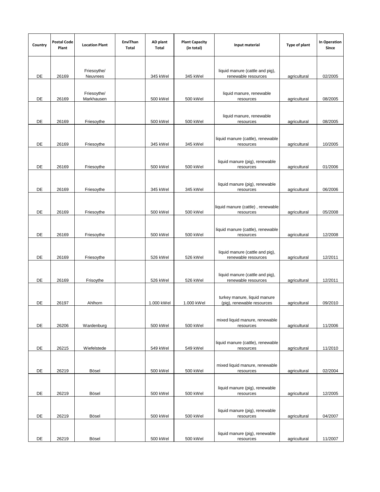| Country | <b>Postal Code</b><br>Plant | <b>Location Plant</b>     | EnviThan<br>Total | AD plant<br>Total | <b>Plant Capacity</b><br>(in total) | Input material                                             | Type of plant | In Operation<br>Since |
|---------|-----------------------------|---------------------------|-------------------|-------------------|-------------------------------------|------------------------------------------------------------|---------------|-----------------------|
| DE      | 26169                       | Friesoythe/<br>Neuvrees   |                   | 345 kWel          | 345 kWel                            | liquid manure (cattle and pig),<br>renewable resources     | agricultural  | 02/2005               |
| DE      | 26169                       | Friesoythe/<br>Markhausen |                   | 500 kWel          | 500 kWel                            | liquid manure, renewable<br>resources                      | agricultural  | 08/2005               |
| DE      | 26169                       | Friesoythe                |                   | 500 kWel          | 500 kWel                            | liquid manure, renewable<br>resources                      | agricultural  | 08/2005               |
| DE      | 26169                       | Friesoythe                |                   | 345 kWel          | 345 kWel                            | liquid manure (cattle), renewable<br>resources             | agricultural  | 10/2005               |
| DE      | 26169                       | Friesoythe                |                   | 500 kWel          | 500 kWel                            | liquid manure (pig), renewable<br>resources                | agricultural  | 01/2006               |
| DE      | 26169                       | Friesoythe                |                   | 345 kWel          | 345 kWel                            | liquid manure (pig), renewable<br>resources                | agricultural  | 06/2006               |
| DE      | 26169                       | Friesoythe                |                   | 500 kWel          | 500 kWel                            | liquid manure (cattle), renewable<br>resources             | agricultural  | 05/2008               |
| DE      | 26169                       | Friesoythe                |                   | 500 kWel          | 500 kWel                            | liquid manure (cattle), renewable<br>resources             | agricultural  | 12/2008               |
| DE      | 26169                       | Friesoythe                |                   | 526 kWel          | 526 kWel                            | liquid manure (cattle and pig),<br>renewable resources     | agricultural  | 12/2011               |
| DE      | 26169                       | Frisoythe                 |                   | 526 kWel          | 526 kWel                            | liquid manure (cattle and pig),<br>renewable resources     | agricultural  | 12/2011               |
| DE      | 26197                       | Ahlhorn                   |                   | 1.000 kWel        | 1.000 kWel                          | turkey manure, liquid manure<br>(pig), renewable resources | agricultural  | 09/2010               |
| DE      | 26206                       | Wardenburg                |                   | 500 kWel          | 500 kWel                            | mixed liquid manure, renewable<br>resources                | agricultural  | 11/2006               |
| DE      | 26215                       | Wiefelstede               |                   | 549 kWel          | 549 kWel                            | liquid manure (cattle), renewable<br>resources             | agricultural  | 11/2010               |
| DE      | 26219                       | Bösel                     |                   | 500 kWel          | 500 kWel                            | mixed liquid manure, renewable<br>resources                | agricultural  | 02/2004               |
| DE      | 26219                       | Bösel                     |                   | 500 kWel          | 500 kWel                            | liquid manure (pig), renewable<br>resources                | agricultural  | 12/2005               |
| DE      | 26219                       | Bösel                     |                   | 500 kWel          | 500 kWel                            | liquid manure (pig), renewable<br>resources                | agricultural  | 04/2007               |
| DE      | 26219                       | Bösel                     |                   | 500 kWel          | 500 kWel                            | liquid manure (pig), renewable<br>resources                | agricultural  | 11/2007               |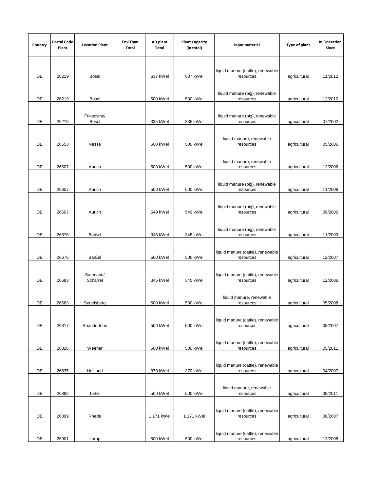| Country | <b>Postal Code</b><br>Plant | <b>Location Plant</b>  | EnviThan<br>Total | AD plant<br>Total | <b>Plant Capacity</b><br>(in total) | Input material                                 | Type of plant | <b>In Operation</b><br>Since |
|---------|-----------------------------|------------------------|-------------------|-------------------|-------------------------------------|------------------------------------------------|---------------|------------------------------|
| DE      | 26219                       | Bösel                  |                   | 637 kWel          | 637 kWel                            | liquid manure (cattle), renewable<br>resources | agricultural  | 11/2012                      |
| DE      | 26219                       | Bösel                  |                   | 500 kWel          | 500 kWel                            | liquid manure (pig), renewable<br>resources    | agricultural  | 12/2010                      |
| DE      | 26219                       | Friesoythe/<br>Bösel   |                   | 335 kWel          | 335 kWel                            | liquid manure (pig), renewable<br>resources    | agricultural  | 07/2002                      |
| DE      | 26553                       | Nesse                  |                   | 500 kWel          | 500 kWel                            | liquid manure, renewable<br>resources          | agricultural  | 05/2006                      |
| DE      | 26607                       | Aurich                 |                   | 500 kWel          | 500 kWel                            | liquid manure, renewable<br>resources          | agricultural  | 12/2006                      |
| DE      | 26607                       | Aurich                 |                   | 500 kWel          | 500 kWel                            | liquid manure (pig), renewable<br>resources    | agricultural  | 11/2006                      |
| DE      | 26607                       | Aurich                 |                   | 549 kWel          | 549 kWel                            | liquid manure (pig), renewable<br>resources    | agricultural  | 09/2006                      |
| DE      | 26676                       | Barßel                 |                   | 345 kWel          | 345 kWel                            | liquid manure (pig), renewable<br>resources    | agricultural  | 11/2003                      |
| DE      | 26676                       | Barßel                 |                   | 500 kWel          | 500 kWel                            | liquid manure (cattle), renewable<br>resources | agricultural  | 12/2007                      |
| DE      | 26683                       | Saterland/<br>Scharrel |                   | 345 kWel          | 345 kWel                            | liquid manure (cattle), renewable<br>resources | agricultural  | 12/2006                      |
| DE      | 26683                       | Sedelsberg             |                   | 500 kWel          | 500 kWel                            | liquid manure, renewable<br>resources          | agricultural  | 05/2008                      |
| DE      | 26817                       | Rhauderfehn            |                   | 500 kWel          | 500 kWel                            | liquid manure (cattle), renewable<br>resources | agricultural  | 08/2007                      |
| DE      | 26826                       | Weener                 |                   | 500 kWel          | 500 kWel                            | liquid manure (cattle), renewable<br>resources | agricultural  | 05/2011                      |
| DE      | 26835                       | Holtland               |                   | 370 kWel          | 370 kWel                            | liquid manure (cattle), renewable<br>resources | agricultural  | 04/2007                      |
| DE      | 26892                       | Lehe                   |                   | 500 kWel          | 500 kWel                            | liquid manure, renewable<br>resources          | agricultural  | 09/2011                      |
| DE      | 26899                       | Rhede                  |                   | 1.171 kWel        | 1.171 kWel                          | liquid manure (cattle), renewable<br>resources | agricultural  | 08/2007                      |
| DE      | 26901                       | Lorup                  |                   | 500 kWel          | 500 kWel                            | liquid manure (cattle), renewable<br>resources | agricultural  | 12/2008                      |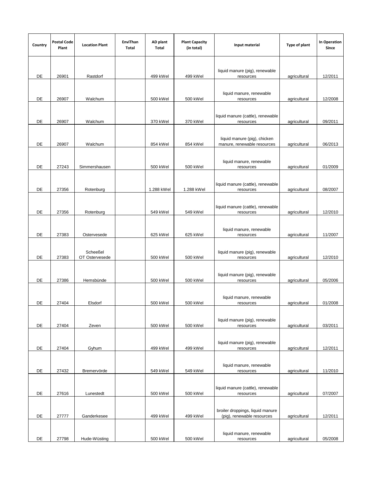| Country | <b>Postal Code</b><br>Plant | <b>Location Plant</b>      | EnviThan<br>Total | AD plant<br>Total | <b>Plant Capacity</b><br>(in total) | Input material                                                 | Type of plant | In Operation<br>Since |
|---------|-----------------------------|----------------------------|-------------------|-------------------|-------------------------------------|----------------------------------------------------------------|---------------|-----------------------|
| DE      | 26901                       | Rastdorf                   |                   | 499 kWel          | 499 kWel                            | liquid manure (pig), renewable<br>resources                    | agricultural  | 12/2011               |
| DE      | 26907                       | Walchum                    |                   | 500 kWel          | 500 kWel                            | liquid manure, renewable<br>resources                          | agricultural  | 12/2008               |
| DE      | 26907                       | Walchum                    |                   | 370 kWel          | 370 kWel                            | liquid manure (cattle), renewable<br>resources                 | agricultural  | 09/2011               |
| DE      | 26907                       | Walchum                    |                   | 854 kWel          | 854 kWel                            | liquid manure (pig), chicken<br>manure, renewable resources    | agricultural  | 06/2013               |
| DE      | 27243                       | Simmershausen              |                   | 500 kWel          | 500 kWel                            | liquid manure, renewable<br>resources                          | agricultural  | 01/2009               |
| DE      | 27356                       | Rotenburg                  |                   | 1.288 kWel        | 1.288 kWel                          | liquid manure (cattle), renewable<br>resources                 | agricultural  | 08/2007               |
| DE      | 27356                       | Rotenburg                  |                   | 549 kWel          | 549 kWel                            | liquid manure (cattle), renewable<br>resources                 | agricultural  | 12/2010               |
| DE      | 27383                       | Ostervesede                |                   | 625 kWel          | 625 kWel                            | liquid manure, renewable<br>resources                          | agricultural  | 11/2007               |
| DE      | 27383                       | Scheeßel<br>OT Ostervesede |                   | 500 kWel          | 500 kWel                            | liquid manure (pig), renewable<br>resources                    | agricultural  | 12/2010               |
| DE      | 27386                       | Hemsbünde                  |                   | 500 kWel          | 500 kWel                            | liquid manure (pig), renewable<br>resources                    | agricultural  | 05/2006               |
| DE      | 27404                       | Elsdorf                    |                   | 500 kWel          | 500 kWel                            | liquid manure, renewable<br>resources                          | agricultural  | 01/2008               |
| DE      | 27404                       | Zeven                      |                   | 500 kWel          | 500 kWel                            | liquid manure (pig), renewable<br>resources                    | agricultural  | 03/2011               |
| DE      | 27404                       | Gyhum                      |                   | 499 kWel          | 499 kWel                            | liquid manure (pig), renewable<br>resources                    | agricultural  | 12/2011               |
| DE      | 27432                       | Bremervörde                |                   | 549 kWel          | 549 kWel                            | liquid manure, renewable<br>resources                          | agricultural  | 11/2010               |
| DE      | 27616                       | Lunestedt                  |                   | 500 kWel          | 500 kWel                            | liquid manure (cattle), renewable<br>resources                 | agricultural  | 07/2007               |
| DE      | 27777                       | Ganderkesee                |                   | 499 kWel          | 499 kWel                            | broiler droppings, liquid manure<br>(pig), renewable resources | agricultural  | 12/2011               |
| DE      | 27798                       | Hude-Wüsting               |                   | 500 kWel          | 500 kWel                            | liquid manure, renewable<br>resources                          | agricultural  | 05/2008               |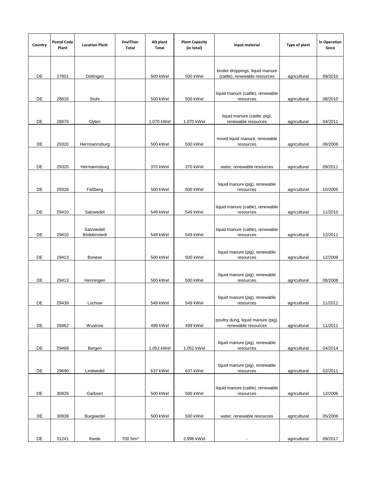| Country | <b>Postal Code</b><br>Plant | <b>Location Plant</b>     | EnviThan<br>Total   | AD plant<br>Total | <b>Plant Capacity</b><br>(in total) | Input material                                                    | Type of plant | <b>In Operation</b><br>Since |
|---------|-----------------------------|---------------------------|---------------------|-------------------|-------------------------------------|-------------------------------------------------------------------|---------------|------------------------------|
| DE      | 27801                       | Dötlingen                 |                     | 500 kWel          | 500 kWel                            | broiler droppings, liquid manure<br>(cattle), renewable resources | agricultural  | 09/2010                      |
| DE      | 28816                       | Stuhr                     |                     | 500 kWel          | 500 kWel                            | liquid manure (cattle), renewable<br>resources                    | agricultural  | 08/2010                      |
| DE      | 28876                       |                           |                     | 1.070 kWel        | 1.070 kWel                          | liquid manure (cattle; pig),<br>renewable resources               |               | 04/2011                      |
|         |                             | Oyten                     |                     |                   |                                     | mixed liquid manure, renewable                                    | agricultural  |                              |
| DE      | 29320                       | Herrmannsburg             |                     | 500 kWel          | 500 kWel                            | resources                                                         | agricultural  | 08/2006                      |
| DE      | 29320                       | Hermannsburg              |                     | 370 kWel          | 370 kWel                            | water, renewable resources                                        | agricultural  | 09/2011                      |
| DE      | 29328                       | Faßberg                   |                     | 500 kWel          | 500 kWel                            | liquid manure (pig), renewable<br>resources                       | agricultural  | 10/2005                      |
| DE      | 29410                       | Salzwedel                 |                     | 549 kWel          | 549 kWel                            | liquid manure (cattle), renewable<br>resources                    | agricultural  | 11/2010                      |
| DE      | 29410                       | Salzwedel/<br>Böddenstedt |                     | 549 kWel          | 549 kWel                            | liquid manure (cattle), renewable<br>resources                    | agricultural  | 12/2011                      |
| DE      | 29413                       | Bonese                    |                     | 500 kWel          | 500 kWel                            | liquid manure (pig), renewable<br>resources                       | agricultural  | 12/2008                      |
| DE      | 29413                       | Henningen                 |                     | 500 kWel          | 500 kWel                            | liquid manure (pig), renewable<br>resources                       | agricultural  | 08/2008                      |
| DE      | 29439                       | Lüchow                    |                     | 549 kWel          | 549 kWel                            | liquid manure (pig), renewable<br>resources                       | agricultural  | 11/2011                      |
| DE      | 29462                       | Wustrow                   |                     | 499 kWel          | 499 kWel                            | poultry dung, liquid manure (pig),<br>renewable resources         | agricultural  | 11/2011                      |
| DE      | 29468                       | Bergen                    |                     | 1.052 kWel        | 1.052 kWel                          | liquid manure (pig), renewable<br>resources                       | agricultural  | 04/2014                      |
| DE      | 29690                       | Lindwedel                 |                     | 637 kWel          | 637 kWel                            | liquid manure (pig), renewable<br>resources                       | agricultural  | 02/2011                      |
| DE      | 30826                       | Garbsen                   |                     | 500 kWel          | 500 kWel                            | liquid manure (cattle), renewable<br>resources                    | agricultural  | 12/2006                      |
| DE      | 30938                       | Burgwedel                 |                     | 500 kWel          | 500 kWel                            | water, renewable resources                                        | agricultural  | 05/2006                      |
| DE      | 31241                       | Ilsede                    | 700 Nm <sup>3</sup> |                   | 2.996 kWel                          | ÷,                                                                | agricultural  | 09/2017                      |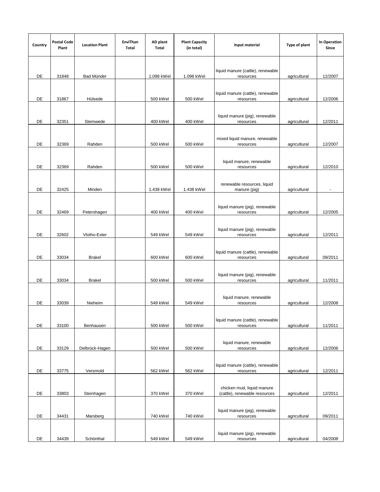| Country | <b>Postal Code</b><br>Plant | <b>Location Plant</b> | EnviThan<br>Total | AD plant<br>Total | <b>Plant Capacity</b><br>(in total) | Input material                                              | Type of plant | In Operation<br>Since |
|---------|-----------------------------|-----------------------|-------------------|-------------------|-------------------------------------|-------------------------------------------------------------|---------------|-----------------------|
| DE      | 31848                       | Bad Münder            |                   | 1.098 kWel        | 1.098 kWel                          | liquid manure (cattle), renewable<br>resources              | agricultural  | 12/2007               |
| DE      | 31867                       | Hülsede               |                   | 500 kWel          | 500 kWel                            | liquid manure (cattle), renewable<br>resources              | agricultural  | 12/2006               |
| DE      | 32351                       | Stemwede              |                   | 400 kWel          | 400 kWel                            | liquid manure (pig), renewable<br>resources                 | agricultural  | 12/2011               |
| DE      | 32369                       | Rahden                |                   | 500 kWel          | 500 kWel                            | mixed liquid manure, renewable<br>resources                 | agricultural  | 12/2007               |
| DE      | 32369                       | Rahden                |                   | 500 kWel          | 500 kWel                            | liquid manure, renewable<br>resources                       | agricultural  | 12/2010               |
| DE      | 32425                       | Minden                |                   | 1.438 kWel        | 1.438 kWel                          | renewable resources, liquid<br>manure (pig)                 | agricultural  |                       |
| DE      | 32469                       | Petershagen           |                   | 400 kWel          | 400 kWel                            | liquid manure (pig), renewable<br>resources                 | agricultural  | 12/2005               |
| DE      | 32602                       | Vlotho-Exter          |                   | 549 kWel          | 549 kWel                            | liquid manure (pig), renewable<br>resources                 | agricultural  | 12/2011               |
| DE      | 33034                       | <b>Brakel</b>         |                   | 600 kWel          | 600 kWel                            | liquid manure (cattle), renewable<br>resources              | agricultural  | 09/2011               |
| DE      | 33034                       | <b>Brakel</b>         |                   | 500 kWel          | 500 kWel                            | liquid manure (pig), renewable<br>resources                 | agricultural  | 11/2011               |
| DE      | 33039                       | Nieheim               |                   | 549 kWel          | 549 kWel                            | liquid manure, renewable<br>resources                       | agricultural  | 12/2008               |
| DE      | 33100                       | Benhausen             |                   | 500 kWel          | 500 kWel                            | liquid manure (cattle), renewable<br>resources              | agricultural  | 11/2011               |
| DE      | 33129                       | Delbrück-Hagen        |                   | 500 kWel          | 500 kWel                            | liquid manure, renewable<br>resources                       | agricultural  | 12/2006               |
| DE      | 33775                       | Versmold              |                   | 562 kWel          | 562 kWel                            | liquid manure (cattle), renewable<br>resources              | agricultural  | 12/2011               |
| DE      | 33803                       | Steinhagen            |                   | 370 kWel          | 370 kWel                            | chicken mud, liquid manure<br>(cattle), renewable resources | agricultural  | 12/2011               |
| DE      | 34431                       | Marsberg              |                   | 740 kWel          | 740 kWel                            | liquid manure (pig), renewable<br>resources                 | agricultural  | 09/2011               |
| DE      | 34439                       | Schönthal             |                   | 549 kWel          | 549 kWel                            | liquid manure (pig), renewable<br>resources                 | agricultural  | 04/2008               |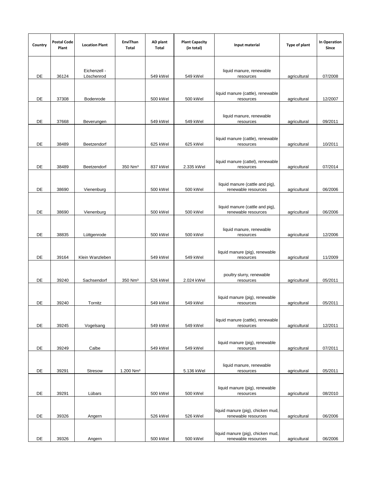| Country | <b>Postal Code</b><br>Plant | <b>Location Plant</b>      | EnviThan<br>Total     | AD plant<br>Total | <b>Plant Capacity</b><br>(in total) | Input material                                           | Type of plant | In Operation<br>Since |
|---------|-----------------------------|----------------------------|-----------------------|-------------------|-------------------------------------|----------------------------------------------------------|---------------|-----------------------|
| DE      | 36124                       | Eichenzell -<br>Löschenrod |                       | 549 kWel          | 549 kWel                            | liquid manure, renewable<br>resources                    | agricultural  | 07/2008               |
| DE      | 37308                       | Bodenrode                  |                       | 500 kWel          | 500 kWel                            | liquid manure (cattle), renewable<br>resources           | agricultural  | 12/2007               |
| DE      | 37668                       | Beverungen                 |                       | 549 kWel          | 549 kWel                            | liquid manure, renewable<br>resources                    | agricultural  | 09/2011               |
| DE      | 38489                       | Beetzendorf                |                       | 625 kWel          | 625 kWel                            | liquid manure (cattle), renewable<br>resources           | agricultural  | 10/2011               |
| DE      | 38489                       | Beetzendorf                | 350 Nm <sup>3</sup>   | 837 kWel          | 2.335 kWel                          | liquid manure (cattel), renewable<br>resources           | agricultural  | 07/2014               |
| DE      | 38690                       | Vienenburg                 |                       | 500 kWel          | 500 kWel                            | liquid manure (cattle and pig),<br>renewable resources   | agricultural  | 06/2006               |
| DE      | 38690                       | Vienenburg                 |                       | 500 kWel          | 500 kWel                            | liquid manure (cattle and pig),<br>renewable resources   | agricultural  | 06/2006               |
| DE      | 38835                       | Lüttgenrode                |                       | 500 kWel          | 500 kWel                            | liquid manure, renewable<br>resources                    | agricultural  | 12/2006               |
| DE      | 39164                       | Klein Wanzleben            |                       | 549 kWel          | 549 kWel                            | liquid manure (pig), renewable<br>resources              | agricultural  | 11/2009               |
| DE      | 39240                       | Sachsendorf                | 350 Nm <sup>3</sup>   | 526 kWel          | 2.024 kWel                          | poultry slurry, renewable<br>resources                   | agricultural  | 05/2011               |
| DE      | 39240                       | Tornitz                    |                       | 549 kWel          | 549 kWel                            | liquid manure (pig), renewable<br>resources              | agricultural  | 05/2011               |
| DE      | 39245                       | Vogelsang                  |                       | 549 kWel          | 549 kWel                            | liquid manure (cattle), renewable<br>resources           | agricultural  | 12/2011               |
| DE      | 39249                       | Calbe                      |                       | 549 kWel          | 549 kWel                            | liquid manure (pig), renewable<br>resources              | agricultural  | 07/2011               |
| DE      | 39291                       | Stresow                    | 1.200 Nm <sup>3</sup> |                   | 5.136 kWel                          | liquid manure, renewable<br>resources                    | agricultural  | 05/2011               |
| DE      | 39291                       | Lübars                     |                       | 500 kWel          | 500 kWel                            | liquid manure (pig), renewable<br>resources              | agricultural  | 08/2010               |
| DE      | 39326                       | Angern                     |                       | 526 kWel          | 526 kWel                            | liquid manure (pig), chicken mud,<br>renewable resources | agricultural  | 06/2006               |
| DE      | 39326                       | Angern                     |                       | 500 kWel          | 500 kWel                            | liquid manure (pig), chicken mud,<br>renewable resources | agricultural  | 06/2006               |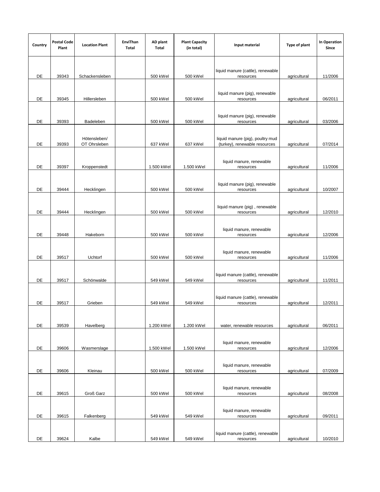| Country | <b>Postal Code</b><br>Plant | <b>Location Plant</b>        | EnviThan<br>Total | AD plant<br>Total | <b>Plant Capacity</b><br>(in total) | Input material                                                    | Type of plant | In Operation<br>Since |
|---------|-----------------------------|------------------------------|-------------------|-------------------|-------------------------------------|-------------------------------------------------------------------|---------------|-----------------------|
| DE      | 39343                       | Schackensleben               |                   | 500 kWel          | 500 kWel                            | liquid manure (cattle), renewable<br>resources                    | agricultural  | 11/2006               |
| DE      | 39345                       | Hillersleben                 |                   | 500 kWel          | 500 kWel                            | liquid manure (pig), renewable<br>resources                       | agricultural  | 06/2011               |
| DE      | 39393                       | Badeleben                    |                   | 500 kWel          | 500 kWel                            | liquid manure (pig), renewable<br>resources                       | agricultural  | 03/2006               |
| DE      | 39393                       | Hötensleben/<br>OT Ohrsleben |                   | 637 kWel          | 637 kWel                            | liquid manure (pig), poultry mud<br>(turkey), renewable resources | agricultural  | 07/2014               |
| DE      | 39397                       | Kroppenstedt                 |                   | 1.500 kWel        | 1.500 kWel                          | liquid manure, renewable<br>resources                             | agricultural  | 11/2006               |
| DE      | 39444                       | Hecklingen                   |                   | 500 kWel          | 500 kWel                            | liquid manure (pig), renewable<br>resources                       | agricultural  | 10/2007               |
| DE      | 39444                       | Hecklingen                   |                   | 500 kWel          | 500 kWel                            | liquid manure (pig), renewable<br>resources                       | agricultural  | 12/2010               |
| DE      | 39448                       | Hakeborn                     |                   | 500 kWel          | 500 kWel                            | liquid manure, renewable<br>resources                             | agricultural  | 12/2006               |
| DE      | 39517                       | Uchtorf                      |                   | 500 kWel          | 500 kWel                            | liquid manure, renewable<br>resources                             | agricultural  | 11/2006               |
| DE      | 39517                       | Schönwalde                   |                   | 549 kWel          | 549 kWel                            | liquid manure (cattle), renewable<br>resources                    | agricultural  | 11/2011               |
| DE      | 39517                       | Grieben                      |                   | 549 kWel          | 549 kWel                            | liquid manure (cattle), renewable<br>resources                    | agricultural  | 12/2011               |
| DE      | 39539                       | Havelberg                    |                   | 1.200 kWel        | 1.200 kWel                          | water, renewable resources                                        | agricultural  | 06/2011               |
| DE      | 39606                       | Wasmerslage                  |                   | 1.500 kWel        | 1.500 kWel                          | liquid manure, renewable<br>resources                             | agricultural  | 12/2006               |
| DE      | 39606                       | Kleinau                      |                   | 500 kWel          | 500 kWel                            | liquid manure, renewable<br>resources                             | agricultural  | 07/2009               |
| DE      | 39615                       | Groß Garz                    |                   | 500 kWel          | 500 kWel                            | liquid manure, renewable<br>resources                             | agricultural  | 08/2008               |
| DE      | 39615                       | Falkenberg                   |                   | 549 kWel          | 549 kWel                            | liquid manure, renewable<br>resources                             | agricultural  | 09/2011               |
| DE      | 39624                       | Kalbe                        |                   | 549 kWel          | 549 kWel                            | liquid manure (cattle), renewable<br>resources                    | agricultural  | 10/2010               |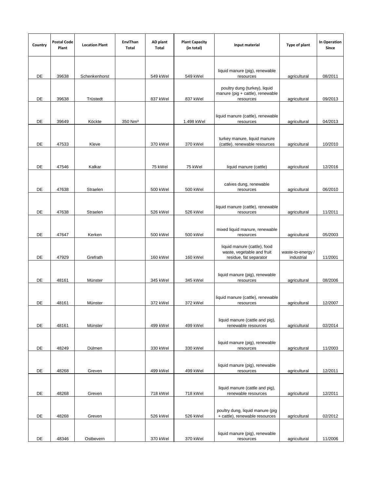| Country | <b>Postal Code</b><br>Plant | <b>Location Plant</b> | EnviThan<br>Total   | AD plant<br>Total | <b>Plant Capacity</b><br>(in total) | Input material                                                                       | Type of plant                   | In Operation<br>Since |
|---------|-----------------------------|-----------------------|---------------------|-------------------|-------------------------------------|--------------------------------------------------------------------------------------|---------------------------------|-----------------------|
| DE      | 39638                       | Schenkenhorst         |                     | 549 kWel          | 549 kWel                            | liquid manure (pig), renewable<br>resources                                          | agricultural                    | 08/2011               |
| DE      | 39638                       | Trüstedt              |                     | 837 kWel          | 837 kWel                            | poultry dung (turkey), liquid<br>manure (pig + cattle), renewable<br>resources       | agricultural                    | 09/2013               |
| DE      | 39649                       | Köckte                | 350 Nm <sup>3</sup> |                   | 1.498 kWel                          | liquid manure (cattle), renewable<br>resources                                       | agricultural                    | 04/2013               |
| DE      | 47533                       | Kleve                 |                     | 370 kWel          | 370 kWel                            | turkey manure, liquid manure<br>(cattle), renewable resources                        | agricultural                    | 10/2010               |
| DE      | 47546                       | Kalkar                |                     | 75 kWel           | 75 kWel                             | liquid manure (cattle)                                                               | agricultural                    | 12/2016               |
| DE      | 47638                       | Straelen              |                     | 500 kWel          | 500 kWel                            | calves dung, renewable<br>resources                                                  | agricultural                    | 06/2010               |
| DE      | 47638                       | Straelen              |                     | 526 kWel          | 526 kWel                            | liquid manure (cattle), renewable<br>resources                                       | agricultural                    | 11/2011               |
| DE      | 47647                       | Kerken                |                     | 500 kWel          | 500 kWel                            | mixed liquid manure, renewable<br>resources                                          | agricultural                    | 05/2003               |
| DE      | 47929                       | Grefrath              |                     | 160 kWel          | 160 kWel                            | liquid manure (cattle), food<br>waste, vegetable and fruit<br>residue, fat separator | waste-to-energy /<br>industrial | 11/2001               |
| DE      | 48161                       | Münster               |                     | 345 kWel          | 345 kWel                            | liquid manure (pig), renewable<br>resources                                          | agricultural                    | 08/2006               |
| DE      | 48161                       | Münster               |                     | 372 kWel          | 372 kWel                            | liquid manure (cattle), renewable<br>resources                                       | agricultural                    | 12/2007               |
| DE      | 48161                       | Münster               |                     | 499 kWel          | 499 kWel                            | liquid manure (cattle and pig),<br>renewable resources                               | agricultural                    | 02/2014               |
| DE      | 48249                       | Dülmen                |                     | 330 kWel          | 330 kWel                            | liquid manure (pig), renewable<br>resources                                          | agricultural                    | 11/2003               |
| DE      | 48268                       | Greven                |                     | 499 kWel          | 499 kWel                            | liquid manure (pig), renewable<br>resources                                          | agricultural                    | 12/2011               |
| DE      | 48268                       | Greven                |                     | 718 kWel          | 718 kWel                            | liquid manure (cattle and pig),<br>renewable resources                               | agricultural                    | 12/2011               |
| DE      | 48268                       | Greven                |                     | 526 kWel          | 526 kWel                            | poultry dung, liquid manure (pig<br>+ cattle), renewable resources                   | agricultural                    | 02/2012               |
| DE      | 48346                       | Ostbevern             |                     | 370 kWel          | 370 kWel                            | liquid manure (pig), renewable<br>resources                                          | agricultural                    | 11/2006               |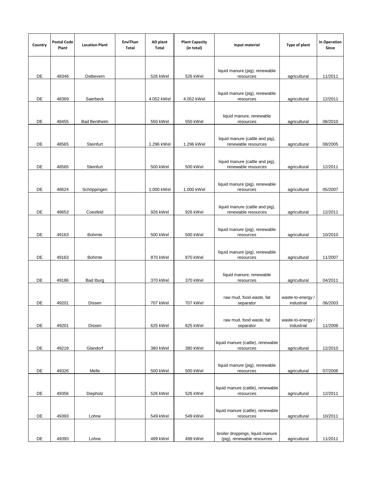| Country | <b>Postal Code</b><br>Plant | <b>Location Plant</b> | EnviThan<br>Total | AD plant<br>Total | <b>Plant Capacity</b><br>(in total) | Input material                                                 | Type of plant                   | In Operation<br>Since |
|---------|-----------------------------|-----------------------|-------------------|-------------------|-------------------------------------|----------------------------------------------------------------|---------------------------------|-----------------------|
|         |                             |                       |                   |                   |                                     |                                                                |                                 |                       |
| DE      | 48346                       | Ostbevern             |                   | 526 kWel          | 526 kWel                            | liquid manure (pig), renewable<br>resources                    | agricultural                    | 11/2011               |
| DE      | 48369                       | Saerbeck              |                   | 4.052 kWel        | 4.052 kWel                          | liquid manure (pig), renewable<br>resources                    | agricultural                    | 12/2011               |
| DE      | 48455                       | <b>Bad Bentheim</b>   |                   | 550 kWel          | 550 kWel                            | liquid manure, renewable<br>resources                          | agricultural                    | 08/2010               |
| DE      | 48565                       | Steinfurt             |                   | 1.296 kWel        | 1.296 kWel                          | liquid manure (cattle and pig),<br>renewable resources         | agricultural                    | 08/2005               |
| DE      | 48565                       | Steinfurt             |                   | 500 kWel          | 500 kWel                            | liquid manure (cattle and pig),<br>renewable resources         | agricultural                    | 12/2011               |
| DE      | 48624                       | Schöppingen           |                   | 1.000 kWel        | 1.000 kWel                          | liquid manure (pig), renewable<br>resources                    | agricultural                    | 05/2007               |
| DE      | 48653                       | Coesfeld              |                   | 926 kWel          | 926 kWel                            | liquid manure (cattle and pig),<br>renewable resources         | agricultural                    | 12/2011               |
| DE      | 49163                       | Bohmte                |                   | 500 kWel          | 500 kWel                            | liquid manure (pig), renewable<br>resources                    | agricultural                    | 10/2010               |
| DE      | 49163                       | Bohmte                |                   | 870 kWel          | 870 kWel                            | liquid manure (pig), renewable<br>resources                    | agricultural                    | 11/2007               |
| DE      | 49186                       | Bad Iburg             |                   | 370 kWel          | 370 kWel                            | liquid manure, renewable<br>resources                          | agricultural                    | 04/2011               |
| DE      | 49201                       | Dissen                |                   | 707 kWel          | 707 kWel                            | raw mud, food waste, fat<br>separator                          | waste-to-energy /<br>industrial | 06/2003               |
| DE      | 49201                       | Dissen                |                   | 625 kWel          | 625 kWel                            | raw mud, food waste, fat<br>separator                          | waste-to-energy /<br>industrial | 11/2006               |
| DE      | 49219                       | Glandorf              |                   | 380 kWel          | 380 kWel                            | liquid manure (cattle), renewable<br>resources                 | agricultural                    | 12/2010               |
| DE      | 49326                       | Melle                 |                   | 500 kWel          | 500 kWel                            | liquid manure (pig), renewable<br>resources                    | agricultural                    | 07/2006               |
| DE      | 49356                       | Diepholz              |                   | 526 kWel          | 526 kWel                            | liquid manure (cattle), renewable<br>resources                 | agricultural                    | 12/2011               |
| DE      | 49393                       | Lohne                 |                   | 549 kWel          | 549 kWel                            | liquid manure (cattle), renewable<br>resources                 | agricultural                    | 10/2011               |
| DE      | 49393                       | Lohne                 |                   | 499 kWel          | 499 kWel                            | broiler droppings, liquid manure<br>(pig), renewable resources | agricultural                    | 11/2011               |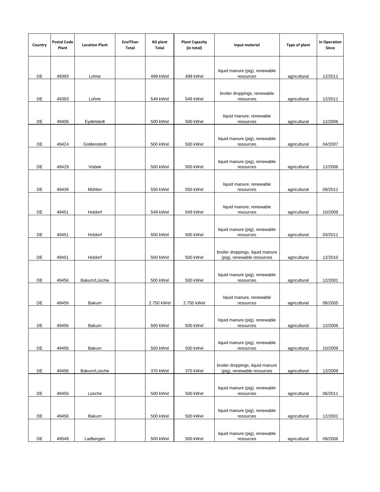| Country | <b>Postal Code</b><br>Plant | <b>Location Plant</b> | EnviThan<br>Total | AD plant<br>Total | <b>Plant Capacity</b><br>(in total) | Input material                                                 | Type of plant | <b>In Operation</b><br>Since |
|---------|-----------------------------|-----------------------|-------------------|-------------------|-------------------------------------|----------------------------------------------------------------|---------------|------------------------------|
| DE      | 49393                       | Lohne                 |                   | 499 kWel          | 499 kWel                            | liquid manure (pig), renewable<br>resources                    | agricultural  | 12/2011                      |
| DE      | 49393                       | Lohne                 |                   | 549 kWel          | 549 kWel                            | broiler droppings, renewable<br>resources                      | agricultural  | 12/2011                      |
| DE      | 49406                       | Eydelstedt            |                   | 500 kWel          | 500 kWel                            | liquid manure, renewable<br>resources                          | agricultural  | 12/2006                      |
| DE      | 49424                       | Goldenstedt           |                   | 500 kWel          | 500 kWel                            | liquid manure (pig), renewable<br>resources                    | agricultural  | 04/2007                      |
| DE      | 49429                       | Visbek                |                   | 500 kWel          | 500 kWel                            | liquid manure (pig), renewable<br>resources                    | agricultural  | 12/2006                      |
| DE      | 49439                       | Mühlen                |                   | 550 kWel          | 550 kWel                            | liquid manure, renewable<br>resources                          | agricultural  | 09/2011                      |
| DE      | 49451                       | Holdorf               |                   | 549 kWel          | 549 kWel                            | liquid manure, renewable<br>resources                          | agricultural  | 10/2009                      |
| DE      | 49451                       | Holdorf               |                   | 500 kWel          | 500 kWel                            | liquid manure (pig), renewable<br>resources                    | agricultural  | 03/2011                      |
| DE      | 49451                       | Holdorf               |                   | 500 kWel          | 500 kWel                            | broiler droppings, liquid manure<br>(pig), renewable resources | agricultural  | 12/2010                      |
| DE      | 49456                       | Bakum/Lüsche          |                   | 500 kWel          | 500 kWel                            | liquid manure (pig), renewable<br>resources                    | agricultural  | 12/2001                      |
| DE      | 49456                       | Bakum                 |                   | 2.750 kWel        | 2.750 kWel                          | liquid manure, renewable<br>resources                          | agricultural  | 08/2005                      |
| DE      | 49456                       | Bakum                 |                   | 500 kWel          | 500 kWel                            | liquid manure (pig), renewable<br>resources                    | agricultural  | 12/2006                      |
| DE      | 49456                       | Bakum                 |                   | 500 kWel          | 500 kWel                            | liquid manure (pig), renewable<br>resources                    | agricultural  | 10/2009                      |
| DE      | 49456                       | Bakum/Lüsche          |                   | 370 kWel          | 370 kWel                            | broiler droppings, liquid manure<br>(pig), renewable resources | agricultural  | 12/2009                      |
| DE      | 49456                       | Lüsche                |                   | 500 kWel          | 500 kWel                            | liquid manure (pig), renewable<br>resources                    | agricultural  | 06/2011                      |
| DE      | 49456                       | Bakum                 |                   | 500 kWel          | 500 kWel                            | liquid manure (pig), renewable<br>resources                    | agricultural  | 12/2001                      |
| DE      | 49549                       | Ladbergen             |                   | 500 kWel          | 500 kWel                            | liquid manure (pig), renewable<br>resources                    | agricultural  | 09/2006                      |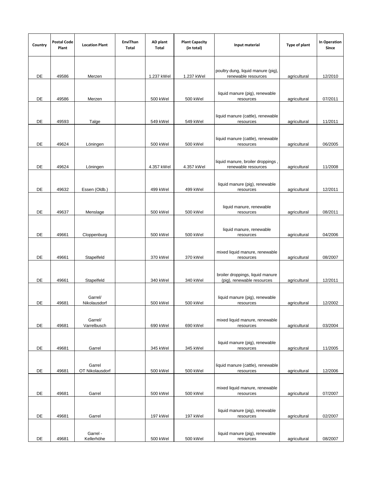| Country | <b>Postal Code</b><br>Plant | <b>Location Plant</b>   | EnviThan<br>Total | AD plant<br>Total | <b>Plant Capacity</b><br>(in total) | Input material                                                 | Type of plant | <b>In Operation</b><br>Since |
|---------|-----------------------------|-------------------------|-------------------|-------------------|-------------------------------------|----------------------------------------------------------------|---------------|------------------------------|
|         |                             |                         |                   |                   |                                     |                                                                |               |                              |
| DE      | 49586                       | Merzen                  |                   | 1.237 kWel        | 1.237 kWel                          | poultry dung, liquid manure (pig)<br>renewable resources       | agricultural  | 12/2010                      |
|         |                             |                         |                   |                   |                                     |                                                                |               |                              |
| DE      | 49586                       | Merzen                  |                   | 500 kWel          | 500 kWel                            | liquid manure (pig), renewable<br>resources                    | agricultural  | 07/2011                      |
|         |                             |                         |                   |                   |                                     |                                                                |               |                              |
| DE      | 49593                       | Talge                   |                   | 549 kWel          | 549 kWel                            | liquid manure (cattle), renewable<br>resources                 | agricultural  | 11/2011                      |
|         |                             |                         |                   |                   |                                     |                                                                |               |                              |
| DE      | 49624                       | Löningen                |                   | 500 kWel          | 500 kWel                            | liquid manure (cattle), renewable<br>resources                 | agricultural  | 06/2005                      |
|         |                             |                         |                   |                   |                                     |                                                                |               |                              |
| DE      | 49624                       | Löningen                |                   | 4.357 kWel        | 4.357 kWel                          | liquid manure, broiler droppings<br>renewable resources        | agricultural  | 11/2008                      |
|         |                             |                         |                   |                   |                                     |                                                                |               |                              |
| DE      | 49632                       | Essen (Oldb.)           |                   | 499 kWel          | 499 kWel                            | liquid manure (pig), renewable<br>resources                    | agricultural  | 12/2011                      |
|         |                             |                         |                   |                   |                                     |                                                                |               |                              |
| DE      | 49637                       | Menslage                |                   | 500 kWel          | 500 kWel                            | liquid manure, renewable<br>resources                          | agricultural  | 08/2011                      |
|         |                             |                         |                   |                   |                                     |                                                                |               |                              |
| DE      | 49661                       | Cloppenburg             |                   | 500 kWel          | 500 kWel                            | liquid manure, renewable<br>resources                          | agricultural  | 04/2006                      |
|         |                             |                         |                   |                   |                                     |                                                                |               |                              |
| DE      | 49661                       | Stapelfeld              |                   | 370 kWel          | 370 kWel                            | mixed liquid manure, renewable<br>resources                    | agricultural  | 08/2007                      |
|         |                             |                         |                   |                   |                                     |                                                                |               |                              |
| DE      | 49661                       | Stapelfeld              |                   | 340 kWel          | 340 kWel                            | broiler droppings, liquid manure<br>(pig), renewable resources | agricultural  | 12/2011                      |
|         |                             |                         |                   |                   |                                     |                                                                |               |                              |
| DE      | 49681                       | Garrel/<br>Nikolausdorf |                   | 500 kWel          | 500 kWel                            | liquid manure (pig), renewable<br>resources                    | agricultural  | 12/2002                      |
|         |                             |                         |                   |                   |                                     |                                                                |               |                              |
| DE      | 49681                       | Garrel/<br>Varrelbusch  |                   | 690 kWel          | 690 kWel                            | mixed liquid manure, renewable<br>resources                    | agricultural  | 03/2004                      |
|         |                             |                         |                   |                   |                                     |                                                                |               |                              |
|         |                             |                         |                   |                   |                                     | liquid manure (pig), renewable                                 |               |                              |
| DE      | 49681                       | Garrel                  |                   | 345 kWel          | 345 kWel                            | resources                                                      | agricultural  | 11/2005                      |
|         |                             | Garrel                  |                   |                   |                                     | liquid manure (cattle), renewable                              |               |                              |
| DE      | 49681                       | OT Nikolausdorf         |                   | 500 kWel          | 500 kWel                            | resources                                                      | agricultural  | 12/2006                      |
|         |                             |                         |                   |                   |                                     | mixed liquid manure, renewable                                 |               |                              |
| DE      | 49681                       | Garrel                  |                   | 500 kWel          | 500 kWel                            | resources                                                      | agricultural  | 07/2007                      |
|         |                             |                         |                   |                   |                                     | liquid manure (pig), renewable                                 |               |                              |
| DE      | 49681                       | Garrel                  |                   | 197 kWel          | 197 kWel                            | resources                                                      | agricultural  | 02/2007                      |
|         |                             | Garrel -                |                   |                   |                                     |                                                                |               |                              |
| DE      | 49681                       | Kellerhöhe              |                   | 500 kWel          | 500 kWel                            | liquid manure (pig), renewable<br>resources                    | agricultural  | 08/2007                      |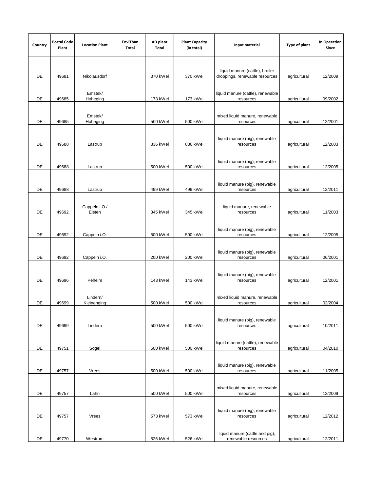| Country | <b>Postal Code</b><br>Plant | <b>Location Plant</b>   | EnviThan<br>Total | AD plant<br>Total | <b>Plant Capacity</b><br>(in total) | Input material                                         | Type of plant | In Operation<br>Since |
|---------|-----------------------------|-------------------------|-------------------|-------------------|-------------------------------------|--------------------------------------------------------|---------------|-----------------------|
|         |                             |                         |                   |                   |                                     | liquid manure (cattle), broiler                        |               |                       |
| DE      | 49681                       | Nikolausdorf            |                   | 370 kWel          | 370 kWel                            | droppings, renewable resources                         | agricultural  | 12/2009               |
| DE      | 49685                       | Emstek/<br>Hoheging     |                   | 173 kWel          | 173 kWel                            | liquid manure (cattle), renewable<br>resources         | agricultural  | 09/2002               |
| DE      | 49685                       | Emstek/<br>Hoheging     |                   | 500 kWel          | 500 kWel                            | mixed liquid manure, renewable<br>resources            | agricultural  | 12/2001               |
| DE      | 49688                       | Lastrup                 |                   | 836 kWel          | 836 kWel                            | liquid manure (pig), renewable<br>resources            | agricultural  | 12/2003               |
| DE      | 49688                       | Lastrup                 |                   | 500 kWel          | 500 kWel                            | liquid manure (pig), renewable<br>resources            | agricultural  | 12/2005               |
| DE      | 49688                       | Lastrup                 |                   | 499 kWel          | 499 kWel                            | liquid manure (pig), renewable<br>resources            | agricultural  | 12/2011               |
| DE      | 49692                       | Cappeln i.O./<br>Elsten |                   | 345 kWel          | 345 kWel                            | liquid manure, renewable<br>resources                  | agricultural  | 11/2003               |
| DE      | 49692                       | Cappeln i.O.            |                   | 500 kWel          | 500 kWel                            | liquid manure (pig), renewable<br>resources            | agricultural  | 12/2005               |
| DE      | 49692                       | Cappeln i.O.            |                   | 200 kWel          | 200 kWel                            | liquid manure (pig), renewable<br>resources            | agricultural  | 06/2001               |
| DE      | 49696                       | Peheim                  |                   | 143 kWel          | 143 kWel                            | liquid manure (pig), renewable<br>resources            | agricultural  | 12/2001               |
| DE      | 49699                       | Lindern/<br>Kleinenging |                   | 500 kWel          | 500 kWel                            | mixed liquid manure, renewable<br>resources            | agricultural  | 02/2004               |
| DE      | 49699                       | Lindern                 |                   | 500 kWel          | 500 kWel                            | liquid manure (pig), renewable<br>resources            | agricultural  | 10/2011               |
| DE      | 49751                       | Sögel                   |                   | 500 kWel          | 500 kWel                            | liquid manure (cattle), renewable<br>resources         | agricultural  | 04/2010               |
| DE      | 49757                       | Vrees                   |                   | 500 kWel          | 500 kWel                            | liquid manure (pig), renewable<br>resources            | agricultural  | 11/2005               |
| DE      | 49757                       | Lahn                    |                   | 500 kWel          | 500 kWel                            | mixed liquid manure, renewable<br>resources            | agricultural  | 12/2009               |
| DE      | 49757                       | Vrees                   |                   | 573 kWel          | 573 kWel                            | liquid manure (pig), renewable<br>resources            | agricultural  | 12/2012               |
| DE      | 49770                       | Westrum                 |                   | 526 kWel          | 526 kWel                            | liquid manure (cattle and pig),<br>renewable resources | agricultural  | 12/2011               |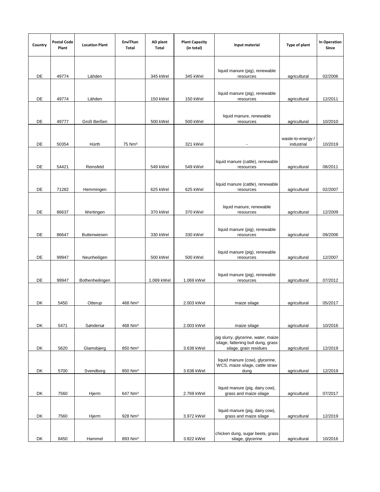| Country | <b>Postal Code</b><br>Plant | <b>Location Plant</b> | EnviThan<br>Total   | AD plant<br>Total | <b>Plant Capacity</b><br>(in total) | Input material                                                                                      | Type of plant                   | <b>In Operation</b><br>Since |
|---------|-----------------------------|-----------------------|---------------------|-------------------|-------------------------------------|-----------------------------------------------------------------------------------------------------|---------------------------------|------------------------------|
| DE      | 49774                       | Lähden                |                     | 345 kWel          | 345 kWel                            | liquid manure (pig), renewable<br>resources                                                         | agricultural                    | 02/2006                      |
| DE      | 49774                       | Lähden                |                     | 150 kWel          | 150 kWel                            | liquid manure (pig), renewable<br>resources                                                         | agricultural                    | 12/2011                      |
| DE      | 49777                       | Groß Berßen           |                     | 500 kWel          | 500 kWel                            | liquid manure, renewable<br>resources                                                               | agricultural                    | 10/2010                      |
| DE      | 50354                       | Hürth                 | 75 Nm <sup>3</sup>  |                   | 321 kWel                            |                                                                                                     | waste-to-energy /<br>industrial | 10/2019                      |
| DE      | 54421                       | Reinsfeld             |                     | 549 kWel          | 549 kWel                            | liquid manure (cattle), renewable<br>resources                                                      | agricultural                    | 08/2011                      |
| DE      | 71282                       | Hemmingen             |                     | 625 kWel          | 625 kWel                            | liquid manure (cattle), renewable<br>resources                                                      | agricultural                    | 02/2007                      |
| DE      | 86637                       | Wertingen             |                     | 370 kWel          | 370 kWel                            | liquid manure, renewable<br>resources                                                               | agricultural                    | 12/2009                      |
| DE      | 86647                       | <b>Buttenwiesen</b>   |                     | 330 kWel          | 330 kWel                            | liquid manure (pig), renewable<br>resources                                                         | agricultural                    | 09/2006                      |
| DE      | 99947                       | Neunheiligen          |                     | 500 kWel          | 500 kWel                            | liquid manure (pig), renewable<br>resources                                                         | agricultural                    | 12/2007                      |
| DE      | 99947                       | Bothenheilingen       |                     | 1.069 kWel        | 1.069 kWel                          | liquid manure (pig), renewable<br>resources                                                         | agricultural                    | 07/2012                      |
| DK      | 5450                        | Otterup               | 468 Nm <sup>3</sup> |                   | 2.003 kWel                          | maize silage                                                                                        | agricultural                    | 05/2017                      |
| DK      | 5471                        | Søndersø              | 468 Nm <sup>3</sup> |                   | 2.003 kWel                          | maize silage                                                                                        | agricultural                    | 10/2016                      |
| DK      | 5620                        | Glamsbjerg            | 850 Nm <sup>3</sup> |                   | 3.638 kWel                          | pig slurry, glycerine, water, maize<br>silage, fattening bull dung, grass<br>silage, grain residues | agricultural                    | 12/2019                      |
| DK      | 5700                        | Svendborg             | 850 Nm <sup>3</sup> |                   | 3.638 kWel                          | liquid manure (cow), glycerine,<br>WCS, maize silage, cattle straw<br>dung                          | agricultural                    | 12/2019                      |
| DK      | 7560                        | Hjerm                 | 647 Nm <sup>3</sup> |                   | 2.769 kWel                          | liquid manure (pig, dairy cow),<br>grass and maize silage                                           | agricultural                    | 07/2017                      |
| DK      | 7560                        | Hjerm                 | 928 Nm <sup>3</sup> |                   | 3.972 kWel                          | liquid manure (pig, dairy cow),<br>grass and maize silage                                           | agricultural                    | 12/2019                      |
| DK      | 8450                        | Hammel                | 893 Nm <sup>3</sup> |                   | 3.822 kWel                          | chicken dung, sugar beets, grass<br>silage, glycerine                                               | agricultural                    | 10/2016                      |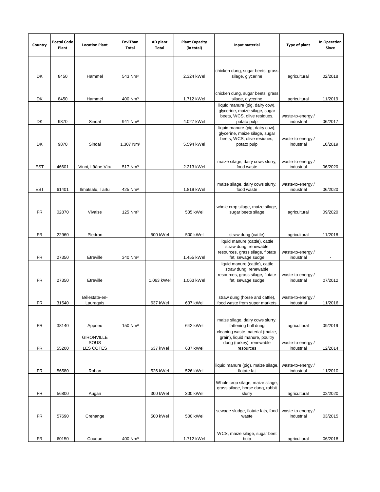| Country    | <b>Postal Code</b><br>Plant | <b>Location Plant</b>                  | EnviThan<br>Total     | AD plant<br>Total | <b>Plant Capacity</b><br>(in total) | Input material                                                                                                  | Type of plant                   | <b>In Operation</b><br>Since |
|------------|-----------------------------|----------------------------------------|-----------------------|-------------------|-------------------------------------|-----------------------------------------------------------------------------------------------------------------|---------------------------------|------------------------------|
|            |                             |                                        |                       |                   |                                     |                                                                                                                 |                                 |                              |
| DK         | 8450                        | Hammel                                 | 543 Nm <sup>3</sup>   |                   | 2.324 kWel                          | chicken dung, sugar beets, grass<br>silage, glycerine                                                           | agricultural                    | 02/2018                      |
|            |                             |                                        |                       |                   |                                     |                                                                                                                 |                                 |                              |
| DK         | 8450                        | Hammel                                 | 400 Nm <sup>3</sup>   |                   | 1.712 kWel                          | chicken dung, sugar beets, grass<br>silage, glycerine                                                           | agricultural                    | 11/2019                      |
| DK         | 9870                        | Sindal                                 | 941 Nm <sup>3</sup>   |                   | 4.027 kWel                          | liquid manure (pig, dairy cow),<br>glycerine, maize silage, sugar<br>beets, WCS, olive residues,<br>potato pulp | waste-to-energy /<br>industrial | 06/2017                      |
|            |                             |                                        |                       |                   |                                     | liquid manure (pig, dairy cow),<br>glycerine, maize silage, sugar<br>beets, WCS, olive residues,                | waste-to-energy /               |                              |
| DK         | 9870                        | Sindal                                 | 1.307 Nm <sup>3</sup> |                   | 5.594 kWel                          | potato pulp                                                                                                     | industrial                      | 10/2019                      |
| EST        | 46601                       | Vinni, Lääne-Viru                      | 517 Nm <sup>3</sup>   |                   | 2.213 kWel                          | maize silage, dairy cows slurry,<br>food waste                                                                  | waste-to-energy /<br>industrial | 06/2020                      |
| <b>EST</b> | 61401                       | Ilmatsalu, Tartu                       | 425 Nm <sup>3</sup>   |                   | 1.819 kWel                          | maize silage, dairy cows slurry,<br>food waste                                                                  | waste-to-energy/<br>industrial  | 06/2020                      |
|            |                             |                                        |                       |                   |                                     |                                                                                                                 |                                 |                              |
| <b>FR</b>  | 02870                       | Vivaise                                | $125$ Nm <sup>3</sup> |                   | 535 kWel                            | whole crop silage, maize silage,<br>sugar beets silage                                                          | agricultural                    | 09/2020                      |
|            |                             |                                        |                       |                   |                                     |                                                                                                                 |                                 |                              |
| <b>FR</b>  | 22960                       | Pledran                                |                       | 500 kWel          | 500 kWel                            | straw dung (cattle)                                                                                             | agricultural                    | 11/2018                      |
|            |                             |                                        |                       |                   |                                     | liquid manure (cattle), cattle<br>straw dung, renewable<br>resources, grass silage, flotate                     | waste-to-energy/                |                              |
| <b>FR</b>  | 27350                       | Etreville                              | 340 Nm <sup>3</sup>   |                   | 1.455 kWel                          | fat, sewage sudge<br>liquid manure (cattle), cattle                                                             | industrial                      | $\blacksquare$               |
| <b>FR</b>  | 27350                       | Etreville                              |                       | 1.063 kWel        | 1.063 kWel                          | straw dung, renewable<br>resources, grass silage, flotate<br>fat, sewage sudge                                  | waste-to-energy/<br>industrial  | 07/2012                      |
| FR         | 31540                       | Bélestate-en-<br>Lauragais             |                       | 637 kWel          | 637 kWel                            | straw dung (horse and cattle),<br>food waste from super markets                                                 | waste-to-energy /<br>industrial | 11/2016                      |
|            |                             |                                        |                       |                   |                                     | maize silage, dairy cows slurry,                                                                                |                                 |                              |
| <b>FR</b>  | 38140                       | Apprieu                                | 150 Nm <sup>3</sup>   |                   | 642 kWel                            | fattening bull dung<br>cleaning waste material (maize,                                                          | agricultural                    | 09/2019                      |
| <b>FR</b>  | 55200                       | <b>GIRONVILLE</b><br>SOUS<br>LES COTES |                       | 637 kWel          | 637 kWel                            | grain), liquid manure, poultry<br>dung (turkey), renewable<br>resources                                         | waste-to-energy/<br>industrial  | 12/2014                      |
| FR         | 56580                       | Rohan                                  |                       | 526 kWel          | 526 kWel                            | liquid manure (pig), maize silage,<br>flotate fat                                                               | waste-to-energy/<br>industrial  | 11/2010                      |
|            |                             |                                        |                       |                   |                                     | Whole crop silage, maize silage,                                                                                |                                 |                              |
| <b>FR</b>  | 56800                       | Augan                                  |                       | 300 kWel          | 300 kWel                            | grass silage, horse dung, rabbit<br>slurry                                                                      | agricultural                    | 02/2020                      |
| FR         | 57690                       | Crehange                               |                       | 500 kWel          | 500 kWel                            | sewage sludge, flotate fats, food<br>waste                                                                      | waste-to-energy /<br>industrial | 03/2015                      |
|            |                             |                                        |                       |                   |                                     |                                                                                                                 |                                 |                              |
| <b>FR</b>  | 60150                       | Coudun                                 | 400 Nm <sup>3</sup>   |                   | 1.712 kWel                          | WCS, maize silage, sugar beet<br>bulp                                                                           | agricultural                    | 06/2018                      |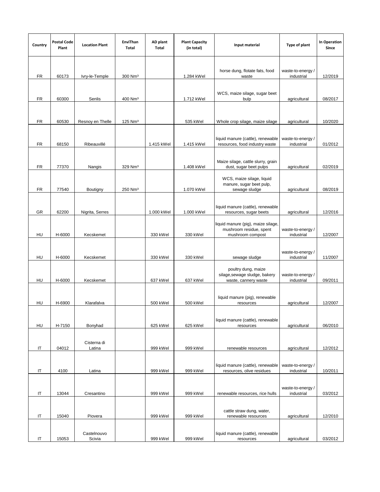| Country   | <b>Postal Code</b><br>Plant | <b>Location Plant</b> | EnviThan<br>Total     | AD plant<br>Total | <b>Plant Capacity</b><br>(in total) | Input material                                                                                | Type of plant                   | In Operation<br>Since |
|-----------|-----------------------------|-----------------------|-----------------------|-------------------|-------------------------------------|-----------------------------------------------------------------------------------------------|---------------------------------|-----------------------|
| FR        | 60173                       | Ivry-le-Temple        | 300 Nm <sup>3</sup>   |                   | 1.284 kWel                          | horse dung, flotate fats, food<br>waste                                                       | waste-to-energy /<br>industrial | 12/2019               |
|           |                             |                       |                       |                   |                                     | WCS, maize silage, sugar beet                                                                 |                                 |                       |
| <b>FR</b> | 60300                       | Senlis                | 400 Nm <sup>3</sup>   |                   | 1.712 kWel                          | bulp                                                                                          | agricultural                    | 08/2017               |
| <b>FR</b> | 60530                       | Resnoy en Thelle      | $125$ Nm <sup>3</sup> |                   | 535 kWel                            | Whole crop silage, maize silage                                                               | agricultural                    | 10/2020               |
| <b>FR</b> | 68150                       | Ribeauvillé           |                       | 1.415 kWel        | 1.415 kWel                          | liquid manure (cattle), renewable<br>resources, food industry waste                           | waste-to-energy /<br>industrial | 01/2012               |
| <b>FR</b> | 77370                       | Nangis                | 329 Nm <sup>3</sup>   |                   | 1.408 kWel                          | Maize silage, cattle slurry, grain<br>dust, sugar beet pulps                                  | agricultural                    | 02/2019               |
| <b>FR</b> | 77540                       | Boutigny              | 250 Nm <sup>3</sup>   |                   | 1.070 kWel                          | WCS, maize silage, liquid<br>manure, sugar beet pulp,<br>sewage sludge                        | agricultural                    | 08/2019               |
| GR        | 62200                       | Nigrita, Serres       |                       | 1.000 kWel        | 1.000 kWel                          | liquid manure (cattle), renewable<br>resources, sugar beets                                   | agricultural                    | 12/2016               |
| HU        | H-6000                      | Kecskemet             |                       | 330 kWel          | 330 kWel                            | liquid manure (pig), maize silage,<br>mushroom residue, spent<br>mushroom compost             | waste-to-energy/<br>industrial  | 12/2007               |
| HU        | H-6000                      | Kecskemet             |                       | 330 kWel          | 330 kWel                            |                                                                                               | waste-to-energy /<br>industrial | 11/2007               |
| HU        | H-6000                      | Kecskemet             |                       | 637 kWel          | 637 kWel                            | sewage sludge<br>poultry dung, maize<br>silage, sewage sludge, bakery<br>waste, cannery waste | waste-to-energy /<br>industrial | 09/2011               |
| HU        | H-6900                      | Klarafalva            |                       | 500 kWel          | 500 kWel                            | liquid manure (pig), renewable<br>resources                                                   | agricultural                    | 12/2007               |
| HU        | H-7150                      | Bonyhad               |                       | 625 kWel          | 625 kWel                            | liquid manure (cattle), renewable<br>resources                                                | agricultural                    | 06/2010               |
| IT        | 04012                       | Cisterna di<br>Latina |                       | 999 kWel          | 999 kWel                            | renewable resources                                                                           | agricultural                    | 12/2012               |
| IT        | 4100                        | Latina                |                       | 999 kWel          | 999 kWel                            | liquid manure (cattle), renewable<br>resources, olive residues                                | waste-to-energy/<br>industrial  | 10/2011               |
| IT        | 13044                       | Cresantino            |                       | 999 kWel          | 999 kWel                            | renewable resources, rice hulls                                                               | waste-to-energy /<br>industrial | 03/2012               |
| IT        | 15040                       | Piovera               |                       | 999 kWel          | 999 kWel                            | cattle straw dung, water,<br>renewable resources                                              | agricultural                    | 12/2010               |
| IT        | 15053                       | Castelnouvo<br>Scivia |                       | 999 kWel          | 999 kWel                            | liquid manure (cattle), renewable<br>resources                                                | agricultural                    | 03/2012               |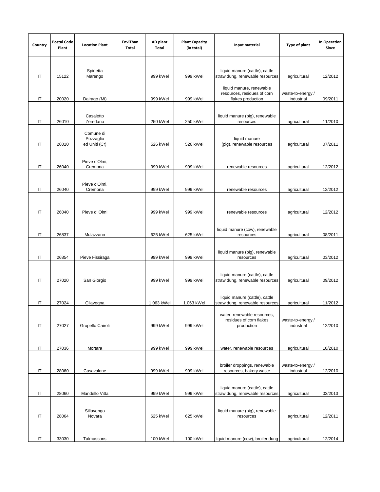| Country  | <b>Postal Code</b><br>Plant | <b>Location Plant</b>                   | EnviThan<br>Total | AD plant<br>Total | <b>Plant Capacity</b><br>(in total) | Input material                                                               | Type of plant                   | In Operation<br>Since |
|----------|-----------------------------|-----------------------------------------|-------------------|-------------------|-------------------------------------|------------------------------------------------------------------------------|---------------------------------|-----------------------|
| IT       | 15122                       | Spinetta<br>Marengo                     |                   | 999 kWel          | 999 kWel                            | liquid manure (cattle), cattle<br>straw dung, renewable resources            | agricultural                    | 12/2012               |
| IT       | 20020                       | Dairago (Mi)                            |                   | 999 kWel          | 999 kWel                            | liquid manure, renewable<br>resources, residues of corn<br>flakes production | waste-to-energy /<br>industrial | 09/2011               |
| IT       | 26010                       | Casaletto<br>Zeredano                   |                   | 250 kWel          | 250 kWel                            | liquid manure (pig), renewable<br>resources                                  | agricultural                    | 11/2010               |
| IT       | 26010                       | Comune di<br>Pozzaglio<br>ed Uniti (Cr) |                   | 526 kWel          | 526 kWel                            | liquid manure<br>(pig), renewable resources                                  | agricultural                    | 07/2011               |
| IT       | 26040                       | Pieve d'Olmi,<br>Cremona                |                   | 999 kWel          | 999 kWel                            | renewable resources                                                          | agricultural                    | 12/2012               |
| IT       | 26040                       | Pieve d'Olmi,<br>Cremona                |                   | 999 kWel          | 999 kWel                            | renewable resources                                                          | agricultural                    | 12/2012               |
| IT       | 26040                       | Pieve d'Olmi                            |                   | 999 kWel          | 999 kWel                            | renewable resources                                                          | agricultural                    | 12/2012               |
| IT       | 26837                       | Mulazzano                               |                   | 625 kWel          | 625 kWel                            | liquid manure (cow), renewable<br>resources                                  | agricultural                    | 08/2011               |
| IT       | 26854                       | Pieve Fissiraga                         |                   | 999 kWel          | 999 kWel                            | liquid manure (pig), renewable<br>resources                                  | agricultural                    | 03/2012               |
| IT       | 27020                       | San Giorgio                             |                   | 999 kWel          | 999 kWel                            | liquid manure (cattle), cattle<br>straw dung, renewable resources            | agricultural                    | 09/2012               |
| IT       | 27024                       | Cilavegna                               |                   | 1.063 kWel        | 1.063 kWel                          | liquid manure (cattle), cattle<br>straw dung, renewable resources            | agricultural                    | 11/2012               |
| IT       | 27027                       | Gropello Cairoli                        |                   | 999 kWel          | 999 kWel                            | water, renewable resources,<br>residues of corn flakes<br>production         | waste-to-energy /<br>industrial | 12/2010               |
| IT       | 27036                       | Mortara                                 |                   | 999 kWel          | 999 kWel                            | water, renewable resources                                                   | agricultural                    | 10/2010               |
| IT       | 28060                       | Casavalone                              |                   | 999 kWel          | 999 kWel                            | broiler droppings, renewable<br>resources, bakery waste                      | waste-to-energy /<br>industrial | 12/2010               |
| $\sf IT$ | 28060                       | Mandello Vitta                          |                   | 999 kWel          | 999 kWel                            | liquid manure (cattle), cattle<br>straw dung, renewable resources            | agricultural                    | 03/2013               |
| $\sf IT$ | 28064                       | Sillavengo<br>Novara                    |                   | 625 kWel          | 625 kWel                            | liquid manure (pig), renewable<br>resources                                  | agricultural                    | 12/2011               |
| IT       | 33030                       | Talmassons                              |                   | 100 kWel          | 100 kWel                            | liquid manure (cow), broiler dung                                            | agricultural                    | 12/2014               |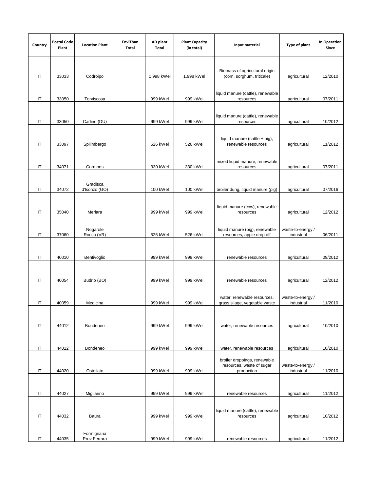| Country  | <b>Postal Code</b><br>Plant | <b>Location Plant</b>      | EnviThan<br>Total | AD plant<br>Total | <b>Plant Capacity</b><br>(in total) | Input material                                                          | Type of plant                   | <b>In Operation</b><br>Since |
|----------|-----------------------------|----------------------------|-------------------|-------------------|-------------------------------------|-------------------------------------------------------------------------|---------------------------------|------------------------------|
|          |                             |                            |                   |                   |                                     |                                                                         |                                 |                              |
| IT       | 33033                       | Codroipo                   |                   | 1.998 kWel        | 1.998 kWel                          | Biomass of agricultural origin<br>(corn, sorghum, triticale)            | agricultural                    | 12/2010                      |
| IT       | 33050                       | Torviscosa                 |                   | 999 kWel          | 999 kWel                            | liquid manure (cattle), renewable<br>resources                          | agricultural                    | 07/2011                      |
| IT       | 33050                       | Carlino (DU)               |                   | 999 kWel          | 999 kWel                            | liquid manure (cattle), renewable<br>resources                          | agricultural                    | 10/2012                      |
| IT       | 33097                       | Spilimbergo                |                   | 526 kWel          | 526 kWel                            | liquid manure (cattle + pig),<br>renewable resources                    | agricultural                    | 11/2012                      |
| IT       | 34071                       | Cormons                    |                   | 330 kWel          | 330 kWel                            | mixed liquid manure, renewable<br>resources                             | agricultural                    | 07/2011                      |
| IT       | 34072                       | Gradisca<br>d'Isonzo (GO)  |                   | 100 kWel          | 100 kWel                            | broiler dung, liquid manure (pig)                                       | agricultural                    | 07/2016                      |
| IT       | 35040                       | Merlara                    |                   | 999 kWel          | 999 kWel                            | liquid manure (cow), renewable<br>resources                             | agricultural                    | 12/2012                      |
| IT       | 37060                       | Nogarole<br>Rocca (VR)     |                   | 526 kWel          | 526 kWel                            | liquid manure (pig), renewable<br>resources, apple drop off             | waste-to-energy /<br>industrial | 06/2011                      |
|          |                             |                            |                   |                   |                                     |                                                                         |                                 |                              |
| IT       | 40010                       | Bentivoglio                |                   | 999 kWel          | 999 kWel                            | renewable resources                                                     | agricultural                    | 09/2012                      |
| IT       | 40054                       | Budrio (BO)                |                   | 999 kWel          | 999 kWel                            | renewable resources                                                     | agricultural                    | 12/2012                      |
| IT       | 40059                       | Medicina                   |                   | 999 kWel          | 999 kWel                            | water, renewable resources,<br>grass silage, vegetable waste            | waste-to-energy /<br>industrial | 11/2010                      |
| IT       | 44012                       | Bondeneo                   |                   | 999 kWel          | 999 kWel                            | water, renewable resources                                              | agricultural                    | 10/2010                      |
| IT       | 44012                       | Bondeneo                   |                   | 999 kWel          | 999 kWel                            | water, renewable resources                                              | agricultural                    | 10/2010                      |
| $\sf IT$ | 44020                       | Ostellato                  |                   | 999 kWel          | 999 kWel                            | broiler droppings, renewable<br>resources, waste of sugar<br>production | waste-to-energy /<br>industrial | 11/2010                      |
| IT       | 44027                       | Migliarino                 |                   | 999 kWel          | 999 kWel                            | renewable resources                                                     | agricultural                    | 11/2012                      |
| $\sf IT$ | 44032                       | Baura                      |                   | 999 kWel          | 999 kWel                            | liquid manure (cattle), renewable<br>resources                          | agricultural                    | 10/2012                      |
| IT       | 44035                       | Formignana<br>Prov Ferrara |                   | 999 kWel          | 999 kWel                            | renewable resources                                                     | agricultural                    | 11/2012                      |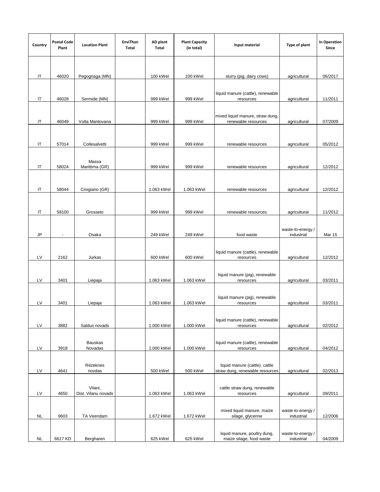| Country   | <b>Postal Code</b><br>Plant | <b>Location Plant</b>          | EnviThan<br>Total | AD plant<br>Total | <b>Plant Capacity</b><br>(in total) | Input material                                                    | Type of plant                   | In Operation<br>Since |
|-----------|-----------------------------|--------------------------------|-------------------|-------------------|-------------------------------------|-------------------------------------------------------------------|---------------------------------|-----------------------|
|           |                             |                                |                   |                   |                                     |                                                                   |                                 |                       |
| IT        | 46020                       | Pegognaga (MN)                 |                   | 100 kWel          | 100 kWel                            | slurry (pig, dairy cows)                                          | agricultural                    | 06/2017               |
| IT        | 46028                       | Sermide (MN)                   |                   | 999 kWel          | 999 kWel                            | liquid manure (cattle), renewable<br>resources                    | agricultural                    | 11/2011               |
| IT        | 46049                       | Volta Mantovana                |                   | 999 kWel          | 999 kWel                            | mixed liquid manure, straw dung,<br>renewable resources           | agricultural                    | 07/2009               |
| IT        | 57014                       | Collesalvetti                  |                   | 999 kWel          | 999 kWel                            | renewable resources                                               | agricultural                    | 05/2012               |
| IT        | 58024                       | Massa<br>Marittima (GR)        |                   | 999 kWel          | 999 kWel                            | renewable resources                                               | agricultural                    | 12/2012               |
| IT        | 58044                       | Cinigiano (GR)                 |                   | 1.063 kWel        | 1.063 kWel                          | renewable resources                                               | agricultural                    | 12/2012               |
| IT        | 58100                       | Grosseto                       |                   | 999 kWel          | 999 kWel                            | renewable resources                                               | agricultural                    | 11/2012               |
| JP        | $\blacksquare$              | Osaka                          |                   | 249 kWel          | 249 kWel                            | food waste                                                        | waste-to-energy /<br>industrial | Mar 15                |
|           |                             |                                |                   |                   |                                     | liquid manure (cattle), renewable                                 |                                 |                       |
| LV        | 2162                        | Jurkas                         |                   | 600 kWel          | 600 kWel                            | resources<br>liquid manure (pig), renewable                       | agricultural                    | 12/2012               |
| LV        | 3401                        | Liepaja                        |                   | 1.063 kWel        | 1.063 kWel                          | resources<br>liquid manure (pig), renewable                       | agricultural                    | 03/2011               |
| LV        | 3401                        | Liepaja                        |                   | 1.063 kWel        | 1.063 kWel                          | resources                                                         | agricultural                    | 03/2011               |
| LV        | 3882                        | Saldus novads                  |                   | 1.000 kWel        | 1.000 kWel                          | liquid manure (cattle), renewable<br>resources                    | agricultural                    | 02/2012               |
| LV        | 3918                        | <b>Bauskas</b><br>Novadas      |                   | 1.000 kWel        | 1.000 kWel                          | liquid manure (cattle), renewable<br>resources                    | agricultural                    | 04/2012               |
| LV        | 4641                        | Rézeknes<br>novdas             |                   | 500 kWel          | 500 kWel                            | liquid manure (cattle), cattle<br>straw dung, renewable resources | agricultural                    | 02/2013               |
| LV        | 4650                        | Vilani,<br>Dist. Vilanu novads |                   | 1.063 kWel        | 1.063 kWel                          | cattle straw dung, renewable<br>resources                         | agricultural                    | 09/2011               |
| <b>NL</b> | 9603                        | TA Veendam                     |                   | 1.672 kWel        | 1.672 kWel                          | mixed liquid manure, maize<br>silage, glycerine                   | waste-to-energy /<br>industrial | 12/2006               |
| <b>NL</b> | 6617 KD                     | Bergharen                      |                   | 625 kWel          | 625 kWel                            | liquid manure, poultry dung,<br>maize silage, food waste          | waste-to-energy /<br>industrial | 04/2009               |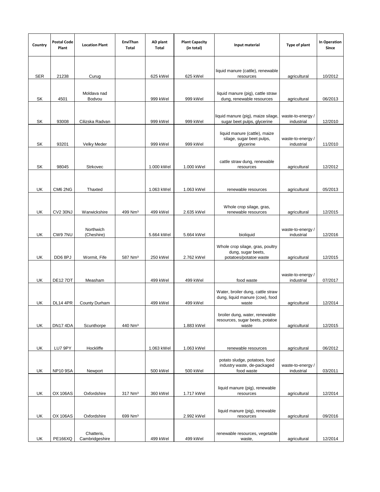| Country    | <b>Postal Code</b><br>Plant | <b>Location Plant</b>        | EnviThan<br>Total   | AD plant<br>Total | <b>Plant Capacity</b><br>(in total) | Input material                                                                   | Type of plant                   | In Operation<br>Since |
|------------|-----------------------------|------------------------------|---------------------|-------------------|-------------------------------------|----------------------------------------------------------------------------------|---------------------------------|-----------------------|
| <b>SER</b> | 21238                       | Curug                        |                     | 625 kWel          | 625 kWel                            | liquid manure (cattle), renewable<br>resources                                   | agricultural                    | 10/2012               |
|            |                             |                              |                     |                   |                                     |                                                                                  |                                 |                       |
| SK         | 4501                        | Moldava nad<br>Bodvou        |                     | 999 kWel          | 999 kWel                            | liquid manure (pig), cattle straw<br>dung, renewable resources                   | agricultural                    | 06/2013               |
| SK         | 93008                       | Cilizska Radvan              |                     | 999 kWel          | 999 kWel                            | liquid manure (pig), maize silage<br>sugar beet pulps, glycerine                 | waste-to-energy /<br>industrial | 12/2010               |
| SK         | 93201                       | Velky Meder                  |                     | 999 kWel          | 999 kWel                            | liquid manure (cattle), maize<br>silage, sugar beet pulps,<br>glycerine          | waste-to-energy /<br>industrial | 11/2010               |
| SK         | 98045                       | <b>Strkovec</b>              |                     | 1.000 kWel        | 1.000 kWel                          | cattle straw dung, renewable<br>resources                                        | agricultural                    | 12/2012               |
| UK         | CM6 2NG                     | Thaxted                      |                     | 1.063 kWel        | 1.063 kWel                          | renewable resources                                                              | agricultural                    | 05/2013               |
|            |                             |                              |                     |                   |                                     | Whole crop silage, gras,                                                         |                                 |                       |
| UK         | <b>CV2 30NJ</b>             | Warwickshire                 | 499 Nm <sup>3</sup> | 499 kWel          | 2.635 kWel                          | renewable resources                                                              | agricultural                    | 12/2015               |
| UK         | CW97NU                      | Northwich<br>(Cheshire)      |                     | 5.664 kWel        | 5.664 kWel                          | bioliquid                                                                        | waste-to-energy/<br>industrial  | 12/2016               |
| UK         | DD68PJ                      | Wormit, Fife                 | 587 Nm <sup>3</sup> | 250 kWel          | 2.762 kWel                          | Whole crop silage, gras, poultry<br>dung, sugar beets,<br>potatoes/potatoe waste |                                 | 12/2015               |
|            |                             |                              |                     |                   |                                     |                                                                                  | agricultural                    |                       |
| UK         | <b>DE127DT</b>              | Measham                      |                     | 499 kWel          | 499 kWel                            | food waste                                                                       | waste-to-energy /<br>industrial | 07/2017               |
| UK         | <b>DL14 4PR</b>             | <b>County Durham</b>         |                     | 499 kWel          | 499 kWel                            | Water, broiler dung, cattle straw<br>dung, liquid manure (cow), food<br>waste    | agricultural                    | 12/2014               |
| UK         | DN174DA                     | Scunthorpe                   | 440 Nm <sup>3</sup> |                   | 1.883 kWel                          | broiler dung, water, renewable<br>resources, sugar beets, potatoe<br>waste       | agricultural                    | 12/2015               |
| UK         | LU7 9PY                     | Hockliffe                    |                     | 1.063 kWel        | 1.063 kWel                          | renewable resources                                                              | agricultural                    | 06/2012               |
| UK         | <b>NP10 9SA</b>             | Newport                      |                     | 500 kWel          | 500 kWel                            | potato sludge, potatoes, food<br>industry waste, de-packaged<br>food waste       | waste-to-energy/<br>industrial  | 03/2011               |
|            |                             |                              |                     |                   |                                     | liquid manure (pig), renewable                                                   |                                 |                       |
| UK         | <b>OX 106AS</b>             | Oxfordshire                  | 317 Nm <sup>3</sup> | 360 kWel          | 1.717 kWel                          | resources                                                                        | agricultural                    | 12/2014               |
| UK         | <b>OX 106AS</b>             | Oxfordshire                  | 699 Nm <sup>3</sup> |                   | 2.992 kWel                          | liquid manure (pig), renewable<br>resources                                      | agricultural                    | 09/2016               |
| UK         | <b>PE166XQ</b>              | Chatteris,<br>Cambridgeshire |                     | 499 kWel          | 499 kWel                            | renewable resources, vegetable<br>waste,                                         | agricultural                    | 12/2014               |